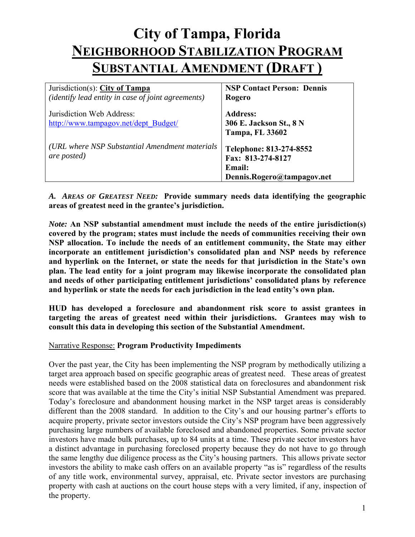# **City of Tampa, Florida NEIGHBORHOOD STABILIZATION PROGRAM SUBSTANTIAL AMENDMENT (DRAFT )**

| Jurisdiction(s): City of Tampa                                         | <b>NSP Contact Person: Dennis</b>                                                           |
|------------------------------------------------------------------------|---------------------------------------------------------------------------------------------|
| ( <i>identify lead entity in case of joint agreements</i> )            | Rogero                                                                                      |
| Jurisdiction Web Address:<br>http://www.tampagov.net/dept_Budget/      | <b>Address:</b><br>306 E. Jackson St., 8 N<br><b>Tampa, FL 33602</b>                        |
| (URL where NSP Substantial Amendment materials)<br><i>are posted</i> ) | Telephone: 813-274-8552<br>Fax: 813-274-8127<br><b>Email:</b><br>Dennis.Rogero@tampagov.net |

 *A. AREAS OF GREATEST NEED:* **Provide summary needs data identifying the geographic areas of greatest need in the grantee's jurisdiction.** 

*Note:* **An NSP substantial amendment must include the needs of the entire jurisdiction(s) covered by the program; states must include the needs of communities receiving their own NSP allocation. To include the needs of an entitlement community, the State may either incorporate an entitlement jurisdiction's consolidated plan and NSP needs by reference and hyperlink on the Internet, or state the needs for that jurisdiction in the State's own plan. The lead entity for a joint program may likewise incorporate the consolidated plan and needs of other participating entitlement jurisdictions' consolidated plans by reference and hyperlink or state the needs for each jurisdiction in the lead entity's own plan.** 

**HUD has developed a foreclosure and abandonment risk score to assist grantees in targeting the areas of greatest need within their jurisdictions. Grantees may wish to consult this data in developing this section of the Substantial Amendment.** 

#### Narrative Response: **Program Productivity Impediments**

Over the past year, the City has been implementing the NSP program by methodically utilizing a target area approach based on specific geographic areas of greatest need. These areas of greatest needs were established based on the 2008 statistical data on foreclosures and abandonment risk score that was available at the time the City's initial NSP Substantial Amendment was prepared. Today's foreclosure and abandonment housing market in the NSP target areas is considerably different than the 2008 standard. In addition to the City's and our housing partner's efforts to acquire property, private sector investors outside the City's NSP program have been aggressively purchasing large numbers of available foreclosed and abandoned properties. Some private sector investors have made bulk purchases, up to 84 units at a time. These private sector investors have a distinct advantage in purchasing foreclosed property because they do not have to go through the same lengthy due diligence process as the City's housing partners. This allows private sector investors the ability to make cash offers on an available property "as is" regardless of the results of any title work, environmental survey, appraisal, etc. Private sector investors are purchasing property with cash at auctions on the court house steps with a very limited, if any, inspection of the property.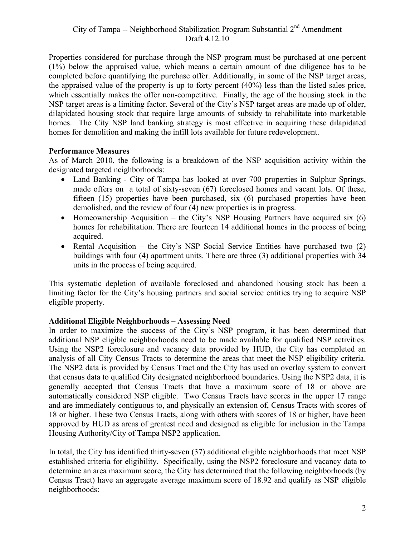Properties considered for purchase through the NSP program must be purchased at one-percent (1%) below the appraised value, which means a certain amount of due diligence has to be completed before quantifying the purchase offer. Additionally, in some of the NSP target areas, the appraised value of the property is up to forty percent (40%) less than the listed sales price, which essentially makes the offer non-competitive. Finally, the age of the housing stock in the NSP target areas is a limiting factor. Several of the City's NSP target areas are made up of older, dilapidated housing stock that require large amounts of subsidy to rehabilitate into marketable homes. The City NSP land banking strategy is most effective in acquiring these dilapidated homes for demolition and making the infill lots available for future redevelopment.

#### **Performance Measures**

As of March 2010, the following is a breakdown of the NSP acquisition activity within the designated targeted neighborhoods:

- Land Banking City of Tampa has looked at over 700 properties in Sulphur Springs, made offers on a total of sixty-seven (67) foreclosed homes and vacant lots. Of these, fifteen (15) properties have been purchased, six (6) purchased properties have been demolished, and the review of four (4) new properties is in progress.
- Homeownership Acquisition the City's NSP Housing Partners have acquired six  $(6)$ homes for rehabilitation. There are fourteen 14 additional homes in the process of being acquired.
- Rental Acquisition the City's NSP Social Service Entities have purchased two (2) buildings with four (4) apartment units. There are three (3) additional properties with 34 units in the process of being acquired.

This systematic depletion of available foreclosed and abandoned housing stock has been a limiting factor for the City's housing partners and social service entities trying to acquire NSP eligible property.

#### **Additional Eligible Neighborhoods – Assessing Need**

In order to maximize the success of the City's NSP program, it has been determined that additional NSP eligible neighborhoods need to be made available for qualified NSP activities. Using the NSP2 foreclosure and vacancy data provided by HUD, the City has completed an analysis of all City Census Tracts to determine the areas that meet the NSP eligibility criteria. The NSP2 data is provided by Census Tract and the City has used an overlay system to convert that census data to qualified City designated neighborhood boundaries. Using the NSP2 data, it is generally accepted that Census Tracts that have a maximum score of 18 or above are automatically considered NSP eligible. Two Census Tracts have scores in the upper 17 range and are immediately contiguous to, and physically an extension of, Census Tracts with scores of 18 or higher. These two Census Tracts, along with others with scores of 18 or higher, have been approved by HUD as areas of greatest need and designed as eligible for inclusion in the Tampa Housing Authority/City of Tampa NSP2 application.

In total, the City has identified thirty-seven (37) additional eligible neighborhoods that meet NSP established criteria for eligibility. Specifically, using the NSP2 foreclosure and vacancy data to determine an area maximum score, the City has determined that the following neighborhoods (by Census Tract) have an aggregate average maximum score of 18.92 and qualify as NSP eligible neighborhoods: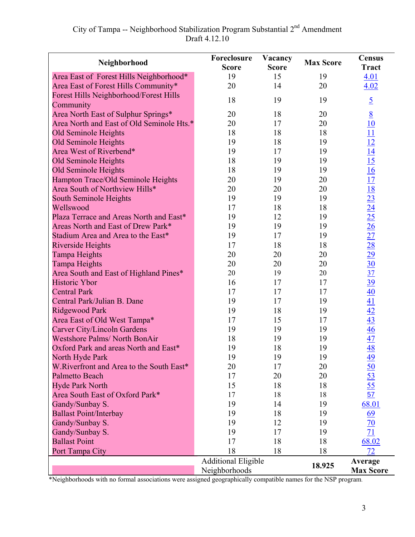| Neighborhood                                     | Foreclosure<br>Vacancy<br><b>Score</b><br><b>Score</b> |          | <b>Max Score</b> | <b>Census</b><br><b>Tract</b>                                                                                                                                                                                                                                                                         |
|--------------------------------------------------|--------------------------------------------------------|----------|------------------|-------------------------------------------------------------------------------------------------------------------------------------------------------------------------------------------------------------------------------------------------------------------------------------------------------|
| Area East of Forest Hills Neighborhood*          | 19                                                     | 15       | 19               | 4.01                                                                                                                                                                                                                                                                                                  |
| Area East of Forest Hills Community*             | 20                                                     | 14       | 20               | 4.02                                                                                                                                                                                                                                                                                                  |
| <b>Forest Hills Neighborhood/Forest Hills</b>    |                                                        |          |                  |                                                                                                                                                                                                                                                                                                       |
| Community                                        | 18                                                     | 19       | 19               | $\overline{5}$                                                                                                                                                                                                                                                                                        |
| Area North East of Sulphur Springs*              | 20                                                     | 18       | 20               |                                                                                                                                                                                                                                                                                                       |
| Area North and East of Old Seminole Hts.*        | 20                                                     | 17       | 20               |                                                                                                                                                                                                                                                                                                       |
| Old Seminole Heights                             | 18                                                     | 18       | 18               |                                                                                                                                                                                                                                                                                                       |
| Old Seminole Heights                             | 19                                                     | 18       | 19               |                                                                                                                                                                                                                                                                                                       |
| Area West of Riverbend*                          | 19                                                     | 17       | 19               |                                                                                                                                                                                                                                                                                                       |
| Old Seminole Heights                             | 18                                                     | 19       | 19               |                                                                                                                                                                                                                                                                                                       |
| Old Seminole Heights                             | 18                                                     | 19       | 19               |                                                                                                                                                                                                                                                                                                       |
| Hampton Trace/Old Seminole Heights               | 20                                                     | 19       | 20               |                                                                                                                                                                                                                                                                                                       |
| Area South of Northview Hills*                   | 20                                                     | 20       | 20               |                                                                                                                                                                                                                                                                                                       |
| South Seminole Heights                           | 19                                                     | 19       | 19               |                                                                                                                                                                                                                                                                                                       |
| Wellswood                                        | 17                                                     | 18       | 18               |                                                                                                                                                                                                                                                                                                       |
| Plaza Terrace and Areas North and East*          | 19                                                     | 12       | 19               |                                                                                                                                                                                                                                                                                                       |
| Areas North and East of Drew Park*               | 19                                                     | 19       | 19               |                                                                                                                                                                                                                                                                                                       |
| Stadium Area and Area to the East*               | 19                                                     | 17       | 19               |                                                                                                                                                                                                                                                                                                       |
| <b>Riverside Heights</b>                         | 17                                                     | 18       | 18               |                                                                                                                                                                                                                                                                                                       |
| Tampa Heights                                    | 20                                                     | 20       | 20               |                                                                                                                                                                                                                                                                                                       |
| <b>Tampa Heights</b>                             | 20                                                     | 20       | 20               | $\frac{8}{10} \frac{10}{11} \frac{11}{12} \frac{14}{15} \frac{16}{15} \frac{17}{15} \frac{18}{23} \frac{23}{24} \frac{25}{25} \frac{66}{25} \frac{77}{25} \frac{28}{29} \frac{99}{29} \frac{30}{30} \frac{37}{30} \frac{99}{40} \frac{40}{41} \frac{41}{42} \frac{43}{45} \frac{46}{47} \frac{7}{48}$ |
| Area South and East of Highland Pines*           | 20                                                     | 19       | 20               |                                                                                                                                                                                                                                                                                                       |
| <b>Historic Ybor</b>                             | 16                                                     | 17       | 17               |                                                                                                                                                                                                                                                                                                       |
| <b>Central Park</b>                              | 17                                                     | 17       | 17               |                                                                                                                                                                                                                                                                                                       |
| Central Park/Julian B. Dane                      | 19                                                     | 17       | 19               |                                                                                                                                                                                                                                                                                                       |
| <b>Ridgewood Park</b>                            | 19                                                     | 18       | 19               |                                                                                                                                                                                                                                                                                                       |
| Area East of Old West Tampa*                     | 17                                                     | 15       | 17               |                                                                                                                                                                                                                                                                                                       |
| <b>Carver City/Lincoln Gardens</b>               | 19                                                     | 19       | 19               |                                                                                                                                                                                                                                                                                                       |
| <b>Westshore Palms/ North BonAir</b>             | 18                                                     | 19       | 19               |                                                                                                                                                                                                                                                                                                       |
| Oxford Park and areas North and East*            | 19                                                     | 18       | 19               |                                                                                                                                                                                                                                                                                                       |
| North Hyde Park                                  | 19                                                     | 19       | 19               | $\frac{49}{50}$<br>$\frac{53}{55}$<br>$\frac{55}{57}$                                                                                                                                                                                                                                                 |
| W.Riverfront and Area to the South East*         | 20                                                     | 17       | 20               |                                                                                                                                                                                                                                                                                                       |
| <b>Palmetto Beach</b>                            | 17                                                     | 20       | 20               |                                                                                                                                                                                                                                                                                                       |
| <b>Hyde Park North</b>                           | 15                                                     | 18       | 18               |                                                                                                                                                                                                                                                                                                       |
| Area South East of Oxford Park*                  | 17<br>19                                               | 18<br>14 | 18               |                                                                                                                                                                                                                                                                                                       |
| Gandy/Sunbay S.<br><b>Ballast Point/Interbay</b> | 19                                                     | 18       | 19<br>19         | 68.01                                                                                                                                                                                                                                                                                                 |
| Gandy/Sunbay S.                                  | 19                                                     | 12       | 19               | $\frac{69}{70}$<br>$\frac{70}{71}$                                                                                                                                                                                                                                                                    |
| Gandy/Sunbay S.                                  | 19                                                     | 17       | 19               |                                                                                                                                                                                                                                                                                                       |
| <b>Ballast Point</b>                             | 17                                                     | 18       | 18               | 68.02                                                                                                                                                                                                                                                                                                 |
| Port Tampa City                                  | 18                                                     | 18       | 18               | 72                                                                                                                                                                                                                                                                                                    |
|                                                  | <b>Additional Eligible</b>                             |          |                  | Average                                                                                                                                                                                                                                                                                               |
|                                                  | Neighborhoods                                          | 18.925   | <b>Max Score</b> |                                                                                                                                                                                                                                                                                                       |

\*Neighborhoods with no formal associations were assigned geographically compatible names for the NSP program.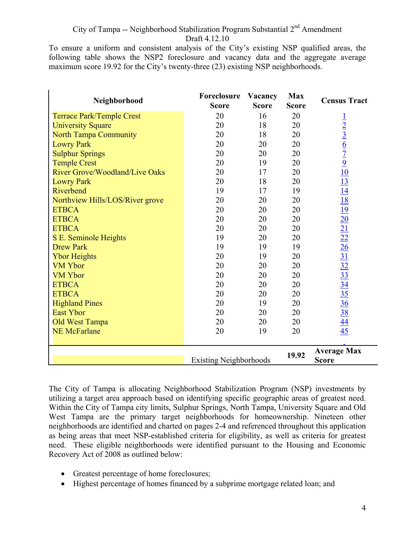To ensure a uniform and consistent analysis of the City's existing NSP qualified areas, the following table shows the NSP2 foreclosure and vacancy data and the aggregate average maximum score 19.92 for the City's twenty-three (23) existing NSP neighborhoods.

| Neighborhood                          | Foreclosure<br><b>Score</b>   | Vacancy<br><b>Score</b> | <b>Max</b><br><b>Score</b> | <b>Census Tract</b>                                                                                                                                                                                                                                                                                     |
|---------------------------------------|-------------------------------|-------------------------|----------------------------|---------------------------------------------------------------------------------------------------------------------------------------------------------------------------------------------------------------------------------------------------------------------------------------------------------|
| <b>Terrace Park/Temple Crest</b>      | 20                            | 16                      | 20                         |                                                                                                                                                                                                                                                                                                         |
| <b>University Square</b>              | 20                            | 18                      | 20                         | $\frac{1}{2}$ $\frac{2}{3}$ $\frac{6}{7}$ $\frac{7}{9}$ $\frac{10}{13}$ $\frac{14}{14}$ $\frac{18}{19}$ $\frac{19}{20}$ $\frac{21}{21}$ $\frac{22}{21}$ $\frac{26}{31}$ $\frac{31}{31}$ $\frac{31}{31}$ $\frac{31}{31}$ $\frac{31}{31}$ $\frac{31}{31}$ $\frac{31}{31}$ $\frac{31}{31}$ $\frac{31}{31}$ |
| <b>North Tampa Community</b>          | 20                            | 18                      | 20                         |                                                                                                                                                                                                                                                                                                         |
| <b>Lowry Park</b>                     | 20                            | 20                      | 20                         |                                                                                                                                                                                                                                                                                                         |
| <b>Sulphur Springs</b>                | 20                            | 20                      | 20                         |                                                                                                                                                                                                                                                                                                         |
| <b>Temple Crest</b>                   | 20                            | 19                      | 20                         |                                                                                                                                                                                                                                                                                                         |
| <b>River Grove/Woodland/Live Oaks</b> | 20                            | 17                      | 20                         |                                                                                                                                                                                                                                                                                                         |
| <b>Lowry Park</b>                     | 20                            | 18                      | 20                         |                                                                                                                                                                                                                                                                                                         |
| Riverbend                             | 19                            | 17                      | 19                         |                                                                                                                                                                                                                                                                                                         |
| Northview Hills/LOS/River grove       | 20                            | 20                      | 20                         |                                                                                                                                                                                                                                                                                                         |
| <b>ETBCA</b>                          | 20                            | 20                      | 20                         |                                                                                                                                                                                                                                                                                                         |
| <b>ETBCA</b>                          | 20                            | 20                      | 20                         |                                                                                                                                                                                                                                                                                                         |
| <b>ETBCA</b>                          | 20                            | 20                      | 20                         |                                                                                                                                                                                                                                                                                                         |
| S E. Seminole Heights                 | 19                            | 20                      | 20                         |                                                                                                                                                                                                                                                                                                         |
| <b>Drew Park</b>                      | 19                            | 19                      | 19                         |                                                                                                                                                                                                                                                                                                         |
| <b>Ybor Heights</b>                   | 20                            | 19                      | 20                         |                                                                                                                                                                                                                                                                                                         |
| <b>VM Ybor</b>                        | 20                            | 20                      | 20                         |                                                                                                                                                                                                                                                                                                         |
| <b>VM Ybor</b>                        | 20                            | 20                      | 20                         |                                                                                                                                                                                                                                                                                                         |
| <b>ETBCA</b>                          | 20                            | 20                      | 20                         |                                                                                                                                                                                                                                                                                                         |
| <b>ETBCA</b>                          | 20                            | 20                      | 20                         |                                                                                                                                                                                                                                                                                                         |
| <b>Highland Pines</b>                 | 20                            | 19                      | 20                         |                                                                                                                                                                                                                                                                                                         |
| <b>East Ybor</b>                      | 20                            | 20                      | 20                         |                                                                                                                                                                                                                                                                                                         |
| <b>Old West Tampa</b>                 | 20                            | 20                      | 20                         |                                                                                                                                                                                                                                                                                                         |
| <b>NE McFarlane</b>                   | 20                            | 19                      | 20                         |                                                                                                                                                                                                                                                                                                         |
|                                       |                               |                         |                            |                                                                                                                                                                                                                                                                                                         |
|                                       | <b>Existing Neighborhoods</b> |                         | 19.92                      | <b>Average Max</b><br><b>Score</b>                                                                                                                                                                                                                                                                      |

The City of Tampa is allocating Neighborhood Stabilization Program (NSP) investments by utilizing a target area approach based on identifying specific geographic areas of greatest need. Within the City of Tampa city limits, Sulphur Springs, North Tampa, University Square and Old West Tampa are the primary target neighborhoods for homeownership. Nineteen other neighborhoods are identified and charted on pages 2-4 and referenced throughout this application as being areas that meet NSP-established criteria for eligibility, as well as criteria for greatest need. These eligible neighborhoods were identified pursuant to the Housing and Economic Recovery Act of 2008 as outlined below:

- Greatest percentage of home foreclosures;
- Highest percentage of homes financed by a subprime mortgage related loan; and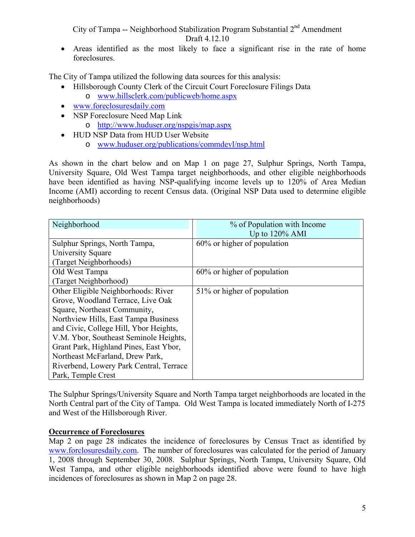• Areas identified as the most likely to face a significant rise in the rate of home foreclosures.

The City of Tampa utilized the following data sources for this analysis:

- Hillsborough County Clerk of the Circuit Court Foreclosure Filings Data
	- o www.hillsclerk.com/publicweb/home.aspx
- www.foreclosuresdaily.com
- NSP Foreclosure Need Map Link
	- o http://www.huduser.org/nspgis/map.aspx
- HUD NSP Data from HUD User Website
	- o www.huduser.org/publications/commdevl/nsp.html

As shown in the chart below and on Map 1 on page 27, Sulphur Springs, North Tampa, University Square, Old West Tampa target neighborhoods, and other eligible neighborhoods have been identified as having NSP-qualifying income levels up to 120% of Area Median Income (AMI) according to recent Census data. (Original NSP Data used to determine eligible neighborhoods)

| Neighborhood                            | % of Population with Income    |
|-----------------------------------------|--------------------------------|
|                                         | Up to $120\%$ AMI              |
| Sulphur Springs, North Tampa,           | $60\%$ or higher of population |
| University Square                       |                                |
| (Target Neighborhoods)                  |                                |
| Old West Tampa                          | 60% or higher of population    |
| (Target Neighborhood)                   |                                |
| Other Eligible Neighborhoods: River     | 51% or higher of population    |
| Grove, Woodland Terrace, Live Oak       |                                |
| Square, Northeast Community,            |                                |
| Northview Hills, East Tampa Business    |                                |
| and Civic, College Hill, Ybor Heights,  |                                |
| V.M. Ybor, Southeast Seminole Heights,  |                                |
| Grant Park, Highland Pines, East Ybor,  |                                |
| Northeast McFarland, Drew Park,         |                                |
| Riverbend, Lowery Park Central, Terrace |                                |
| Park, Temple Crest                      |                                |

The Sulphur Springs/University Square and North Tampa target neighborhoods are located in the North Central part of the City of Tampa. Old West Tampa is located immediately North of I-275 and West of the Hillsborough River.

#### **Occurrence of Foreclosures**

Map 2 on page 28 indicates the incidence of foreclosures by Census Tract as identified by www.forclosuresdaily.com. The number of foreclosures was calculated for the period of January 1, 2008 through September 30, 2008. Sulphur Springs, North Tampa, University Square, Old West Tampa, and other eligible neighborhoods identified above were found to have high incidences of foreclosures as shown in Map 2 on page 28.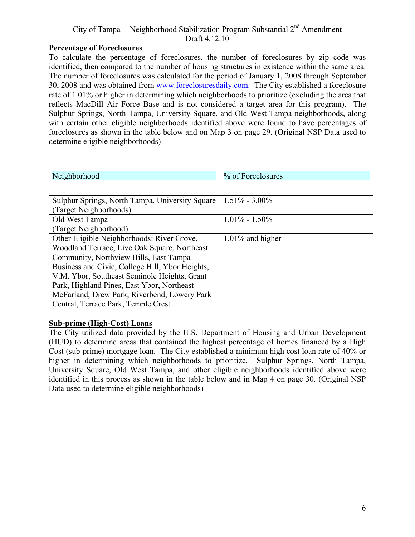#### **Percentage of Foreclosures**

To calculate the percentage of foreclosures, the number of foreclosures by zip code was identified, then compared to the number of housing structures in existence within the same area. The number of foreclosures was calculated for the period of January 1, 2008 through September 30, 2008 and was obtained from www.foreclosuresdaily.com. The City established a foreclosure rate of 1.01% or higher in determining which neighborhoods to prioritize (excluding the area that reflects MacDill Air Force Base and is not considered a target area for this program). The Sulphur Springs, North Tampa, University Square, and Old West Tampa neighborhoods, along with certain other eligible neighborhoods identified above were found to have percentages of foreclosures as shown in the table below and on Map 3 on page 29. (Original NSP Data used to determine eligible neighborhoods)

| Neighborhood                                    | % of Foreclosures   |
|-------------------------------------------------|---------------------|
|                                                 |                     |
| Sulphur Springs, North Tampa, University Square | $1.51\% - 3.00\%$   |
| (Target Neighborhoods)                          |                     |
| Old West Tampa                                  | $1.01\% - 1.50\%$   |
| (Target Neighborhood)                           |                     |
| Other Eligible Neighborhoods: River Grove,      | $1.01\%$ and higher |
| Woodland Terrace, Live Oak Square, Northeast    |                     |
| Community, Northview Hills, East Tampa          |                     |
| Business and Civic, College Hill, Ybor Heights, |                     |
| V.M. Ybor, Southeast Seminole Heights, Grant    |                     |
| Park, Highland Pines, East Ybor, Northeast      |                     |
| McFarland, Drew Park, Riverbend, Lowery Park    |                     |
| Central, Terrace Park, Temple Crest             |                     |

#### **Sub-prime (High-Cost) Loans**

The City utilized data provided by the U.S. Department of Housing and Urban Development (HUD) to determine areas that contained the highest percentage of homes financed by a High Cost (sub-prime) mortgage loan. The City established a minimum high cost loan rate of 40% or higher in determining which neighborhoods to prioritize. Sulphur Springs, North Tampa, University Square, Old West Tampa, and other eligible neighborhoods identified above were identified in this process as shown in the table below and in Map 4 on page 30. (Original NSP Data used to determine eligible neighborhoods)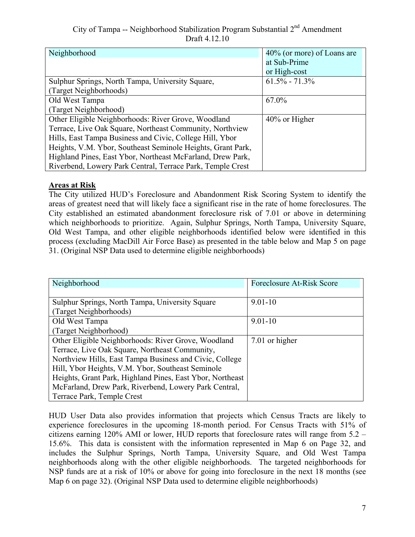| Neighborhood                                                | $40\%$ (or more) of Loans are |
|-------------------------------------------------------------|-------------------------------|
|                                                             | at Sub-Prime                  |
|                                                             | or High-cost                  |
| Sulphur Springs, North Tampa, University Square,            | $61.5\% - 71.3\%$             |
| (Target Neighborhoods)                                      |                               |
| Old West Tampa                                              | 67.0%                         |
| (Target Neighborhood)                                       |                               |
| Other Eligible Neighborhoods: River Grove, Woodland         | 40% or Higher                 |
| Terrace, Live Oak Square, Northeast Community, Northview    |                               |
| Hills, East Tampa Business and Civic, College Hill, Ybor    |                               |
| Heights, V.M. Ybor, Southeast Seminole Heights, Grant Park, |                               |
| Highland Pines, East Ybor, Northeast McFarland, Drew Park,  |                               |
| Riverbend, Lowery Park Central, Terrace Park, Temple Crest  |                               |

#### **Areas at Risk**

The City utilized HUD's Foreclosure and Abandonment Risk Scoring System to identify the areas of greatest need that will likely face a significant rise in the rate of home foreclosures. The City established an estimated abandonment foreclosure risk of 7.01 or above in determining which neighborhoods to prioritize. Again, Sulphur Springs, North Tampa, University Square, Old West Tampa, and other eligible neighborhoods identified below were identified in this process (excluding MacDill Air Force Base) as presented in the table below and Map 5 on page 31. (Original NSP Data used to determine eligible neighborhoods)

| Neighborhood                                              | Foreclosure At-Risk Score |
|-----------------------------------------------------------|---------------------------|
|                                                           |                           |
| Sulphur Springs, North Tampa, University Square           | $9.01 - 10$               |
| (Target Neighborhoods)                                    |                           |
| Old West Tampa                                            | $9.01 - 10$               |
| (Target Neighborhood)                                     |                           |
| Other Eligible Neighborhoods: River Grove, Woodland       | 7.01 or higher            |
| Terrace, Live Oak Square, Northeast Community,            |                           |
| Northview Hills, East Tampa Business and Civic, College   |                           |
| Hill, Ybor Heights, V.M. Ybor, Southeast Seminole         |                           |
| Heights, Grant Park, Highland Pines, East Ybor, Northeast |                           |
| McFarland, Drew Park, Riverbend, Lowery Park Central,     |                           |
| Terrace Park, Temple Crest                                |                           |

HUD User Data also provides information that projects which Census Tracts are likely to experience foreclosures in the upcoming 18-month period. For Census Tracts with 51% of citizens earning 120% AMI or lower, HUD reports that foreclosure rates will range from 5.2 – 15.6%. This data is consistent with the information represented in Map 6 on Page 32, and includes the Sulphur Springs, North Tampa, University Square, and Old West Tampa neighborhoods along with the other eligible neighborhoods. The targeted neighborhoods for NSP funds are at a risk of 10% or above for going into foreclosure in the next 18 months (see Map 6 on page 32). (Original NSP Data used to determine eligible neighborhoods)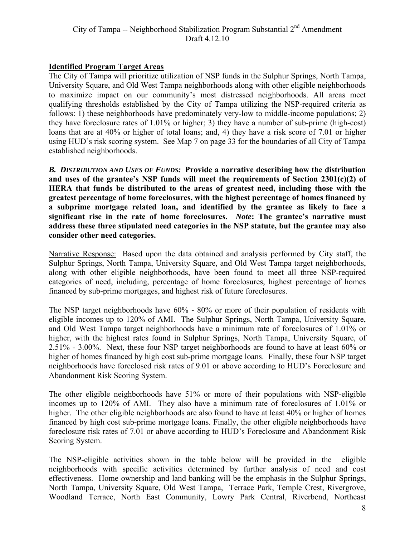#### **Identified Program Target Areas**

The City of Tampa will prioritize utilization of NSP funds in the Sulphur Springs, North Tampa, University Square, and Old West Tampa neighborhoods along with other eligible neighborhoods to maximize impact on our community's most distressed neighborhoods. All areas meet qualifying thresholds established by the City of Tampa utilizing the NSP-required criteria as follows: 1) these neighborhoods have predominately very-low to middle-income populations; 2) they have foreclosure rates of 1.01% or higher; 3) they have a number of sub-prime (high-cost) loans that are at 40% or higher of total loans; and, 4) they have a risk score of 7.01 or higher using HUD's risk scoring system. See Map 7 on page 33 for the boundaries of all City of Tampa established neighborhoods.

 *B. DISTRIBUTION AND USES OF FUNDS:* **Provide a narrative describing how the distribution and uses of the grantee's NSP funds will meet the requirements of Section 2301(c)(2) of HERA that funds be distributed to the areas of greatest need, including those with the greatest percentage of home foreclosures, with the highest percentage of homes financed by a subprime mortgage related loan, and identified by the grantee as likely to face a significant rise in the rate of home foreclosures.** *Note***: The grantee's narrative must address these three stipulated need categories in the NSP statute, but the grantee may also consider other need categories.** 

Narrative Response: Based upon the data obtained and analysis performed by City staff, the Sulphur Springs, North Tampa, University Square, and Old West Tampa target neighborhoods, along with other eligible neighborhoods, have been found to meet all three NSP-required categories of need, including, percentage of home foreclosures, highest percentage of homes financed by sub-prime mortgages, and highest risk of future foreclosures.

The NSP target neighborhoods have 60% - 80% or more of their population of residents with eligible incomes up to 120% of AMI. The Sulphur Springs, North Tampa, University Square, and Old West Tampa target neighborhoods have a minimum rate of foreclosures of 1.01% or higher, with the highest rates found in Sulphur Springs, North Tampa, University Square, of 2.51% - 3.00%. Next, these four NSP target neighborhoods are found to have at least 60% or higher of homes financed by high cost sub-prime mortgage loans. Finally, these four NSP target neighborhoods have foreclosed risk rates of 9.01 or above according to HUD's Foreclosure and Abandonment Risk Scoring System.

The other eligible neighborhoods have 51% or more of their populations with NSP-eligible incomes up to 120% of AMI. They also have a minimum rate of foreclosures of 1.01% or higher. The other eligible neighborhoods are also found to have at least 40% or higher of homes financed by high cost sub-prime mortgage loans. Finally, the other eligible neighborhoods have foreclosure risk rates of 7.01 or above according to HUD's Foreclosure and Abandonment Risk Scoring System.

The NSP-eligible activities shown in the table below will be provided in the eligible neighborhoods with specific activities determined by further analysis of need and cost effectiveness. Home ownership and land banking will be the emphasis in the Sulphur Springs, North Tampa, University Square, Old West Tampa, Terrace Park, Temple Crest, Rivergrove, Woodland Terrace, North East Community, Lowry Park Central, Riverbend, Northeast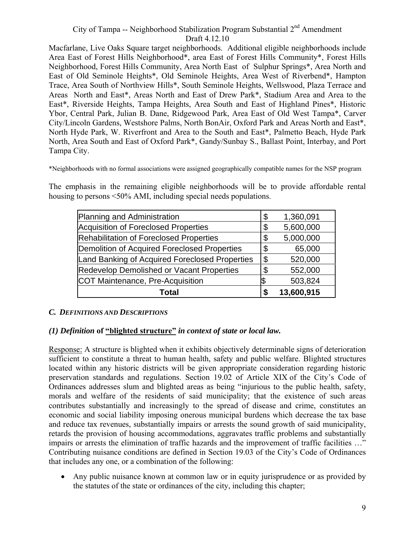Macfarlane, Live Oaks Square target neighborhoods. Additional eligible neighborhoods include Area East of Forest Hills Neighborhood\*, area East of Forest Hills Community\*, Forest Hills Neighborhood, Forest Hills Community, Area North East of Sulphur Springs\*, Area North and East of Old Seminole Heights\*, Old Seminole Heights, Area West of Riverbend\*, Hampton Trace, Area South of Northview Hills\*, South Seminole Heights, Wellswood, Plaza Terrace and Areas North and East\*, Areas North and East of Drew Park\*, Stadium Area and Area to the East\*, Riverside Heights, Tampa Heights, Area South and East of Highland Pines\*, Historic Ybor, Central Park, Julian B. Dane, Ridgewood Park, Area East of Old West Tampa\*, Carver City/Lincoln Gardens, Westshore Palms, North BonAir, Oxford Park and Areas North and East\*, North Hyde Park, W. Riverfront and Area to the South and East\*, Palmetto Beach, Hyde Park North, Area South and East of Oxford Park\*, Gandy/Sunbay S., Ballast Point, Interbay, and Port Tampa City.

\*Neighborhoods with no formal associations were assigned geographically compatible names for the NSP program

The emphasis in the remaining eligible neighborhoods will be to provide affordable rental housing to persons <50% AMI, including special needs populations.

| Planning and Administration                      | \$ | 1,360,091  |
|--------------------------------------------------|----|------------|
| Acquisition of Foreclosed Properties             | \$ | 5,600,000  |
| Rehabilitation of Foreclosed Properties          | \$ | 5,000,000  |
| Demolition of Acquired Foreclosed Properties     | \$ | 65,000     |
| Land Banking of Acquired Foreclosed Properties   | \$ | 520,000    |
| <b>Redevelop Demolished or Vacant Properties</b> | \$ | 552,000    |
| COT Maintenance, Pre-Acquisition                 |    | 503,824    |
| Total                                            | S  | 13,600,915 |

#### *C. DEFINITIONS AND DESCRIPTIONS*

#### *(1) Definition* **of "blighted structure"** *in context of state or local law.*

Response: A structure is blighted when it exhibits objectively determinable signs of deterioration sufficient to constitute a threat to human health, safety and public welfare. Blighted structures located within any historic districts will be given appropriate consideration regarding historic preservation standards and regulations. Section 19.02 of Article XIX of the City's Code of Ordinances addresses slum and blighted areas as being "injurious to the public health, safety, morals and welfare of the residents of said municipality; that the existence of such areas contributes substantially and increasingly to the spread of disease and crime, constitutes an economic and social liability imposing onerous municipal burdens which decrease the tax base and reduce tax revenues, substantially impairs or arrests the sound growth of said municipality, retards the provision of housing accommodations, aggravates traffic problems and substantially impairs or arrests the elimination of traffic hazards and the improvement of traffic facilities …" Contributing nuisance conditions are defined in Section 19.03 of the City's Code of Ordinances that includes any one, or a combination of the following:

• Any public nuisance known at common law or in equity jurisprudence or as provided by the statutes of the state or ordinances of the city, including this chapter;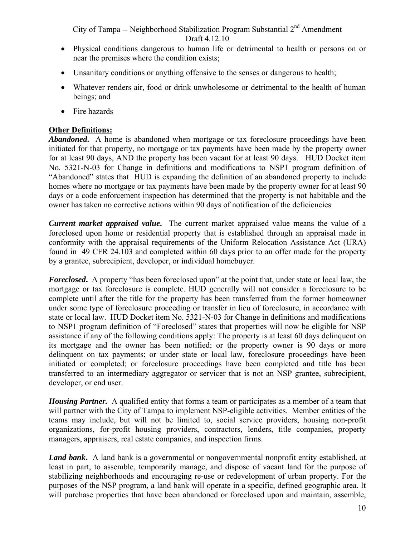- Physical conditions dangerous to human life or detrimental to health or persons on or near the premises where the condition exists;
- Unsanitary conditions or anything offensive to the senses or dangerous to health;
- Whatever renders air, food or drink unwholesome or detrimental to the health of human beings; and
- Fire hazards

#### **Other Definitions:**

*Abandoned***.** A home is abandoned when mortgage or tax foreclosure proceedings have been initiated for that property, no mortgage or tax payments have been made by the property owner for at least 90 days, AND the property has been vacant for at least 90 days. HUD Docket item No. 5321-N-03 for Change in definitions and modifications to NSP1 program definition of "Abandoned" states that HUD is expanding the definition of an abandoned property to include homes where no mortgage or tax payments have been made by the property owner for at least 90 days or a code enforcement inspection has determined that the property is not habitable and the owner has taken no corrective actions within 90 days of notification of the deficiencies

*Current market appraised value***.** The current market appraised value means the value of a foreclosed upon home or residential property that is established through an appraisal made in conformity with the appraisal requirements of the Uniform Relocation Assistance Act (URA) found in 49 CFR 24.103 and completed within 60 days prior to an offer made for the property by a grantee, subrecipient, developer, or individual homebuyer.

*Foreclosed***.** A property "has been foreclosed upon" at the point that, under state or local law, the mortgage or tax foreclosure is complete. HUD generally will not consider a foreclosure to be complete until after the title for the property has been transferred from the former homeowner under some type of foreclosure proceeding or transfer in lieu of foreclosure, in accordance with state or local law. HUD Docket item No. 5321-N-03 for Change in definitions and modifications to NSP1 program definition of "Foreclosed" states that properties will now be eligible for NSP assistance if any of the following conditions apply: The property is at least 60 days delinquent on its mortgage and the owner has been notified; or the property owner is 90 days or more delinquent on tax payments; or under state or local law, foreclosure proceedings have been initiated or completed; or foreclosure proceedings have been completed and title has been transferred to an intermediary aggregator or servicer that is not an NSP grantee, subrecipient, developer, or end user.

*Housing Partner.* A qualified entity that forms a team or participates as a member of a team that will partner with the City of Tampa to implement NSP-eligible activities. Member entities of the teams may include, but will not be limited to, social service providers, housing non-profit organizations, for-profit housing providers, contractors, lenders, title companies, property managers, appraisers, real estate companies, and inspection firms.

*Land bank*. A land bank is a governmental or nongovernmental nonprofit entity established, at least in part, to assemble, temporarily manage, and dispose of vacant land for the purpose of stabilizing neighborhoods and encouraging re-use or redevelopment of urban property. For the purposes of the NSP program, a land bank will operate in a specific, defined geographic area. It will purchase properties that have been abandoned or foreclosed upon and maintain, assemble,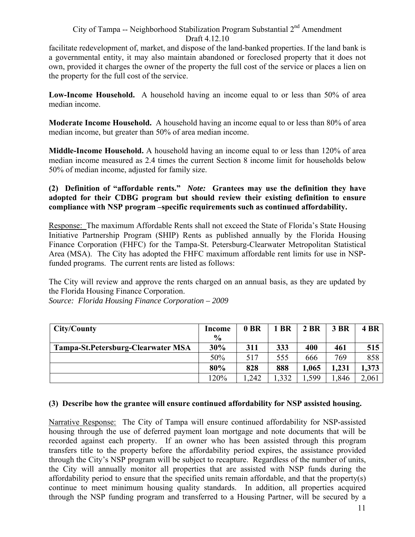facilitate redevelopment of, market, and dispose of the land-banked properties. If the land bank is a governmental entity, it may also maintain abandoned or foreclosed property that it does not own, provided it charges the owner of the property the full cost of the service or places a lien on the property for the full cost of the service.

**Low-Income Household.** A household having an income equal to or less than 50% of area median income.

**Moderate Income Household.** A household having an income equal to or less than 80% of area median income, but greater than 50% of area median income.

**Middle-Income Household.** A household having an income equal to or less than 120% of area median income measured as 2.4 times the current Section 8 income limit for households below 50% of median income, adjusted for family size.

**(2) Definition of "affordable rents."** *Note:* **Grantees may use the definition they have adopted for their CDBG program but should review their existing definition to ensure compliance with NSP program –specific requirements such as continued affordability.** 

Response: The maximum Affordable Rents shall not exceed the State of Florida's State Housing Initiative Partnership Program (SHIP) Rents as published annually by the Florida Housing Finance Corporation (FHFC) for the Tampa-St. Petersburg-Clearwater Metropolitan Statistical Area (MSA). The City has adopted the FHFC maximum affordable rent limits for use in NSPfunded programs. The current rents are listed as follows:

The City will review and approve the rents charged on an annual basis, as they are updated by the Florida Housing Finance Corporation.

*Source: Florida Housing Finance Corporation – 2009* 

| City/County                        | Income<br>$\frac{0}{0}$ | 0 BR | 1 BR  | 2 BR  | <b>3 BR</b> | 4 BR  |
|------------------------------------|-------------------------|------|-------|-------|-------------|-------|
| Tampa-St.Petersburg-Clearwater MSA | 30%                     | 311  | 333   | 400   | 461         | 515   |
|                                    | 50%                     | 517  | 555   | 666   | 769         | 858   |
|                                    | 80%                     | 828  | 888   | 1,065 | 1,231       | 1,373 |
|                                    | 120%                    | .242 | 1,332 | .599  | .846        | 2,061 |

#### **(3) Describe how the grantee will ensure continued affordability for NSP assisted housing.**

Narrative Response: The City of Tampa will ensure continued affordability for NSP-assisted housing through the use of deferred payment loan mortgage and note documents that will be recorded against each property. If an owner who has been assisted through this program transfers title to the property before the affordability period expires, the assistance provided through the City's NSP program will be subject to recapture. Regardless of the number of units, the City will annually monitor all properties that are assisted with NSP funds during the affordability period to ensure that the specified units remain affordable, and that the property(s) continue to meet minimum housing quality standards. In addition, all properties acquired through the NSP funding program and transferred to a Housing Partner, will be secured by a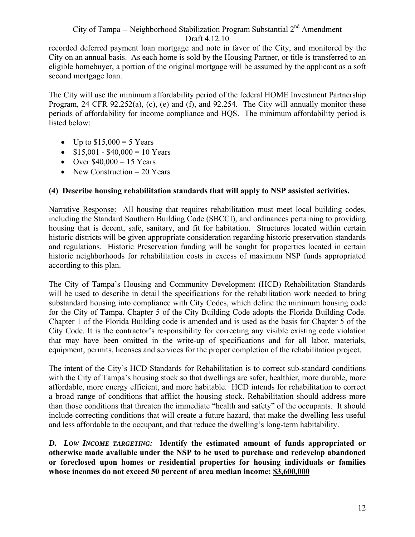recorded deferred payment loan mortgage and note in favor of the City, and monitored by the City on an annual basis. As each home is sold by the Housing Partner, or title is transferred to an eligible homebuyer, a portion of the original mortgage will be assumed by the applicant as a soft second mortgage loan.

The City will use the minimum affordability period of the federal HOME Investment Partnership Program, 24 CFR 92.252(a), (c), (e) and (f), and 92.254. The City will annually monitor these periods of affordability for income compliance and HQS. The minimum affordability period is listed below:

- Up to  $$15,000 = 5$  Years
- $$15,001 $40,000 = 10$  Years
- Over  $$40,000 = 15$  Years
- New Construction  $= 20$  Years

## **(4) Describe housing rehabilitation standards that will apply to NSP assisted activities.**

Narrative Response: All housing that requires rehabilitation must meet local building codes, including the Standard Southern Building Code (SBCCI), and ordinances pertaining to providing housing that is decent, safe, sanitary, and fit for habitation. Structures located within certain historic districts will be given appropriate consideration regarding historic preservation standards and regulations. Historic Preservation funding will be sought for properties located in certain historic neighborhoods for rehabilitation costs in excess of maximum NSP funds appropriated according to this plan.

The City of Tampa's Housing and Community Development (HCD) Rehabilitation Standards will be used to describe in detail the specifications for the rehabilitation work needed to bring substandard housing into compliance with City Codes, which define the minimum housing code for the City of Tampa. Chapter 5 of the City Building Code adopts the Florida Building Code. Chapter 1 of the Florida Building code is amended and is used as the basis for Chapter 5 of the City Code. It is the contractor's responsibility for correcting any visible existing code violation that may have been omitted in the write-up of specifications and for all labor, materials, equipment, permits, licenses and services for the proper completion of the rehabilitation project.

The intent of the City's HCD Standards for Rehabilitation is to correct sub-standard conditions with the City of Tampa's housing stock so that dwellings are safer, healthier, more durable, more affordable, more energy efficient, and more habitable. HCD intends for rehabilitation to correct a broad range of conditions that afflict the housing stock. Rehabilitation should address more than those conditions that threaten the immediate "health and safety" of the occupants. It should include correcting conditions that will create a future hazard, that make the dwelling less useful and less affordable to the occupant, and that reduce the dwelling's long-term habitability.

 *D. LOW INCOME TARGETING:* **Identify the estimated amount of funds appropriated or otherwise made available under the NSP to be used to purchase and redevelop abandoned or foreclosed upon homes or residential properties for housing individuals or families whose incomes do not exceed 50 percent of area median income: \$3,600,000**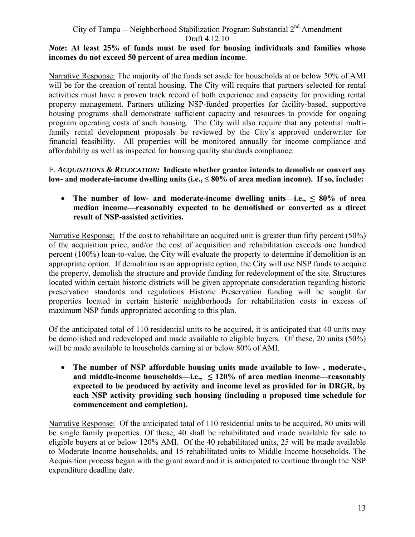#### *Note***: At least 25% of funds must be used for housing individuals and families whose incomes do not exceed 50 percent of area median income**.

Narrative Response: The majority of the funds set aside for households at or below 50% of AMI will be for the creation of rental housing. The City will require that partners selected for rental activities must have a proven track record of both experience and capacity for providing rental property management. Partners utilizing NSP-funded properties for facility-based, supportive housing programs shall demonstrate sufficient capacity and resources to provide for ongoing program operating costs of such housing. The City will also require that any potential multifamily rental development proposals be reviewed by the City's approved underwriter for financial feasibility. All properties will be monitored annually for income compliance and affordability as well as inspected for housing quality standards compliance.

 E. *ACQUISITIONS & RELOCATION:* **Indicate whether grantee intends to demolish or convert any**  low- and moderate-income dwelling units (i.e., ≤ 80% of area median income). If so, include:

#### The number of low- and moderate-income dwelling units—i.e.,  $\leq 80\%$  of area **median income—reasonably expected to be demolished or converted as a direct result of NSP-assisted activities.**

Narrative Response: If the cost to rehabilitate an acquired unit is greater than fifty percent (50%) of the acquisition price, and/or the cost of acquisition and rehabilitation exceeds one hundred percent (100%) loan-to-value, the City will evaluate the property to determine if demolition is an appropriate option. If demolition is an appropriate option, the City will use NSP funds to acquire the property, demolish the structure and provide funding for redevelopment of the site. Structures located within certain historic districts will be given appropriate consideration regarding historic preservation standards and regulations Historic Preservation funding will be sought for properties located in certain historic neighborhoods for rehabilitation costs in excess of maximum NSP funds appropriated according to this plan.

Of the anticipated total of 110 residential units to be acquired, it is anticipated that 40 units may be demolished and redeveloped and made available to eligible buyers. Of these, 20 units (50%) will be made available to households earning at or below 80% of AMI.

• **The number of NSP affordable housing units made available to low- , moderate-, and middle-income households—i.e., ≤ 120% of area median income—reasonably expected to be produced by activity and income level as provided for in DRGR, by each NSP activity providing such housing (including a proposed time schedule for commencement and completion).** 

Narrative Response: Of the anticipated total of 110 residential units to be acquired, 80 units will be single family properties. Of these, 40 shall be rehabilitated and made available for sale to eligible buyers at or below 120% AMI. Of the 40 rehabilitated units, 25 will be made available to Moderate Income households, and 15 rehabilitated units to Middle Income households. The Acquisition process began with the grant award and it is anticipated to continue through the NSP expenditure deadline date.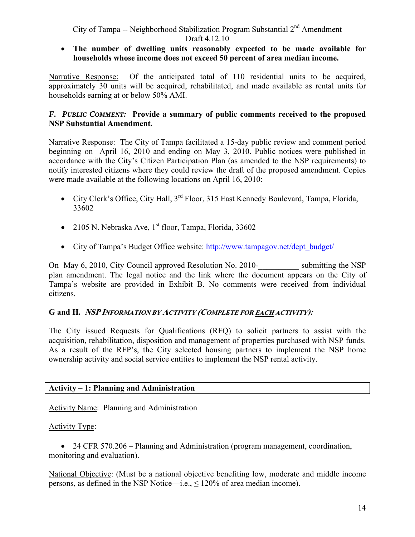• **The number of dwelling units reasonably expected to be made available for households whose income does not exceed 50 percent of area median income.** 

Narrative Response: Of the anticipated total of 110 residential units to be acquired, approximately 30 units will be acquired, rehabilitated, and made available as rental units for households earning at or below 50% AMI.

#### *F. PUBLIC COMMENT:* **Provide a summary of public comments received to the proposed NSP Substantial Amendment.**

Narrative Response: The City of Tampa facilitated a 15-day public review and comment period beginning on April 16, 2010 and ending on May 3, 2010. Public notices were published in accordance with the City's Citizen Participation Plan (as amended to the NSP requirements) to notify interested citizens where they could review the draft of the proposed amendment. Copies were made available at the following locations on April 16, 2010:

- City Clerk's Office, City Hall, 3<sup>rd</sup> Floor, 315 East Kennedy Boulevard, Tampa, Florida, 33602
- 2105 N. Nebraska Ave,  $1<sup>st</sup>$  floor, Tampa, Florida, 33602
- City of Tampa's Budget Office website: http://www.tampagov.net/dept\_budget/

On May 6, 2010, City Council approved Resolution No. 2010-<br>submitting the NSP plan amendment. The legal notice and the link where the document appears on the City of Tampa's website are provided in Exhibit B. No comments were received from individual citizens.

#### **G and H. NSP INFORMATION BY ACTIVITY (COMPLETE FOR EACH ACTIVITY):**

The City issued Requests for Qualifications (RFQ) to solicit partners to assist with the acquisition, rehabilitation, disposition and management of properties purchased with NSP funds. As a result of the RFP's, the City selected housing partners to implement the NSP home ownership activity and social service entities to implement the NSP rental activity.

#### **Activity – 1: Planning and Administration**

#### Activity Name: Planning and Administration

#### Activity Type:

• 24 CFR 570.206 – Planning and Administration (program management, coordination, monitoring and evaluation).

National Objective: (Must be a national objective benefiting low, moderate and middle income persons, as defined in the NSP Notice—i.e.,  $\leq 120\%$  of area median income).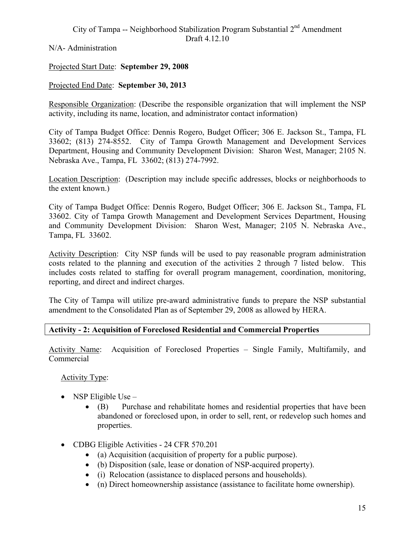N/A- Administration

#### Projected Start Date: **September 29, 2008**

#### Projected End Date: **September 30, 2013**

Responsible Organization: (Describe the responsible organization that will implement the NSP activity, including its name, location, and administrator contact information)

City of Tampa Budget Office: Dennis Rogero, Budget Officer; 306 E. Jackson St., Tampa, FL 33602; (813) 274-8552. City of Tampa Growth Management and Development Services Department, Housing and Community Development Division: Sharon West, Manager; 2105 N. Nebraska Ave., Tampa, FL 33602; (813) 274-7992.

Location Description: (Description may include specific addresses, blocks or neighborhoods to the extent known.)

City of Tampa Budget Office: Dennis Rogero, Budget Officer; 306 E. Jackson St., Tampa, FL 33602. City of Tampa Growth Management and Development Services Department, Housing and Community Development Division: Sharon West, Manager; 2105 N. Nebraska Ave., Tampa, FL 33602.

Activity Description: City NSP funds will be used to pay reasonable program administration costs related to the planning and execution of the activities 2 through 7 listed below. This includes costs related to staffing for overall program management, coordination, monitoring, reporting, and direct and indirect charges.

The City of Tampa will utilize pre-award administrative funds to prepare the NSP substantial amendment to the Consolidated Plan as of September 29, 2008 as allowed by HERA.

#### **Activity - 2: Acquisition of Foreclosed Residential and Commercial Properties**

Activity Name: Acquisition of Foreclosed Properties – Single Family, Multifamily, and Commercial

Activity Type:

- NSP Eligible Use
	- (B) Purchase and rehabilitate homes and residential properties that have been abandoned or foreclosed upon, in order to sell, rent, or redevelop such homes and properties.
- CDBG Eligible Activities 24 CFR 570.201
	- (a) Acquisition (acquisition of property for a public purpose).
	- (b) Disposition (sale, lease or donation of NSP-acquired property).
	- (i) Relocation (assistance to displaced persons and households).
	- (n) Direct homeownership assistance (assistance to facilitate home ownership).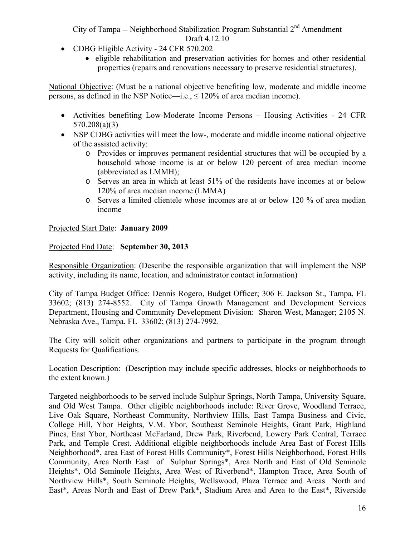- CDBG Eligible Activity 24 CFR 570.202
	- eligible rehabilitation and preservation activities for homes and other residential properties (repairs and renovations necessary to preserve residential structures).

National Objective: (Must be a national objective benefiting low, moderate and middle income persons, as defined in the NSP Notice—i.e.,  $\leq 120\%$  of area median income).

- Activities benefiting Low-Moderate Income Persons Housing Activities 24 CFR 570.208(a)(3)
- NSP CDBG activities will meet the low-, moderate and middle income national objective of the assisted activity:
	- o Provides or improves permanent residential structures that will be occupied by a household whose income is at or below 120 percent of area median income (abbreviated as LMMH);
	- o Serves an area in which at least 51% of the residents have incomes at or below 120% of area median income (LMMA)
	- o Serves a limited clientele whose incomes are at or below 120 % of area median income

#### Projected Start Date: **January 2009**

#### Projected End Date: **September 30, 2013**

Responsible Organization: (Describe the responsible organization that will implement the NSP activity, including its name, location, and administrator contact information)

City of Tampa Budget Office: Dennis Rogero, Budget Officer; 306 E. Jackson St., Tampa, FL 33602; (813) 274-8552. City of Tampa Growth Management and Development Services Department, Housing and Community Development Division: Sharon West, Manager; 2105 N. Nebraska Ave., Tampa, FL 33602; (813) 274-7992.

The City will solicit other organizations and partners to participate in the program through Requests for Qualifications.

Location Description: (Description may include specific addresses, blocks or neighborhoods to the extent known.)

Targeted neighborhoods to be served include Sulphur Springs, North Tampa, University Square, and Old West Tampa. Other eligible neighborhoods include: River Grove, Woodland Terrace, Live Oak Square, Northeast Community, Northview Hills, East Tampa Business and Civic, College Hill, Ybor Heights, V.M. Ybor, Southeast Seminole Heights, Grant Park, Highland Pines, East Ybor, Northeast McFarland, Drew Park, Riverbend, Lowery Park Central, Terrace Park, and Temple Crest. Additional eligible neighborhoods include Area East of Forest Hills Neighborhood\*, area East of Forest Hills Community\*, Forest Hills Neighborhood, Forest Hills Community, Area North East of Sulphur Springs\*, Area North and East of Old Seminole Heights\*, Old Seminole Heights, Area West of Riverbend\*, Hampton Trace, Area South of Northview Hills\*, South Seminole Heights, Wellswood, Plaza Terrace and Areas North and East\*, Areas North and East of Drew Park\*, Stadium Area and Area to the East\*, Riverside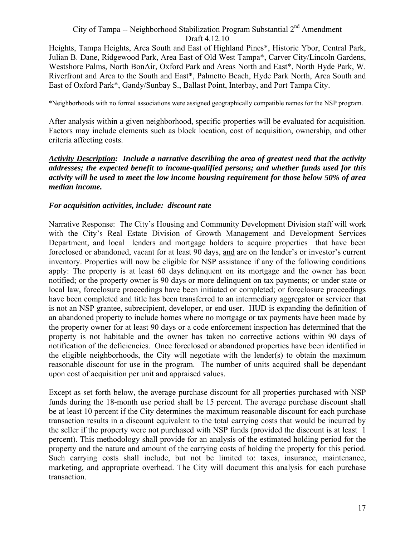Heights, Tampa Heights, Area South and East of Highland Pines\*, Historic Ybor, Central Park, Julian B. Dane, Ridgewood Park, Area East of Old West Tampa\*, Carver City/Lincoln Gardens, Westshore Palms, North BonAir, Oxford Park and Areas North and East\*, North Hyde Park, W. Riverfront and Area to the South and East\*, Palmetto Beach, Hyde Park North, Area South and East of Oxford Park\*, Gandy/Sunbay S., Ballast Point, Interbay, and Port Tampa City.

\*Neighborhoods with no formal associations were assigned geographically compatible names for the NSP program.

After analysis within a given neighborhood, specific properties will be evaluated for acquisition. Factors may include elements such as block location, cost of acquisition, ownership, and other criteria affecting costs.

#### *Activity Description: Include a narrative describing the area of greatest need that the activity addresses; the expected benefit to income-qualified persons; and whether funds used for this activity will be used to meet the low income housing requirement for those below 50% of area median income.*

#### *For acquisition activities, include: discount rate*

Narrative Response: The City's Housing and Community Development Division staff will work with the City's Real Estate Division of Growth Management and Development Services Department, and local lenders and mortgage holders to acquire properties that have been foreclosed or abandoned, vacant for at least 90 days, and are on the lender's or investor's current inventory. Properties will now be eligible for NSP assistance if any of the following conditions apply: The property is at least 60 days delinquent on its mortgage and the owner has been notified; or the property owner is 90 days or more delinquent on tax payments; or under state or local law, foreclosure proceedings have been initiated or completed; or foreclosure proceedings have been completed and title has been transferred to an intermediary aggregator or servicer that is not an NSP grantee, subrecipient, developer, or end user. HUD is expanding the definition of an abandoned property to include homes where no mortgage or tax payments have been made by the property owner for at least 90 days or a code enforcement inspection has determined that the property is not habitable and the owner has taken no corrective actions within 90 days of notification of the deficiencies. Once foreclosed or abandoned properties have been identified in the eligible neighborhoods, the City will negotiate with the lender(s) to obtain the maximum reasonable discount for use in the program. The number of units acquired shall be dependant upon cost of acquisition per unit and appraised values.

Except as set forth below, the average purchase discount for all properties purchased with NSP funds during the 18-month use period shall be 15 percent. The average purchase discount shall be at least 10 percent if the City determines the maximum reasonable discount for each purchase transaction results in a discount equivalent to the total carrying costs that would be incurred by the seller if the property were not purchased with NSP funds (provided the discount is at least 1 percent). This methodology shall provide for an analysis of the estimated holding period for the property and the nature and amount of the carrying costs of holding the property for this period. Such carrying costs shall include, but not be limited to: taxes, insurance, maintenance, marketing, and appropriate overhead. The City will document this analysis for each purchase transaction.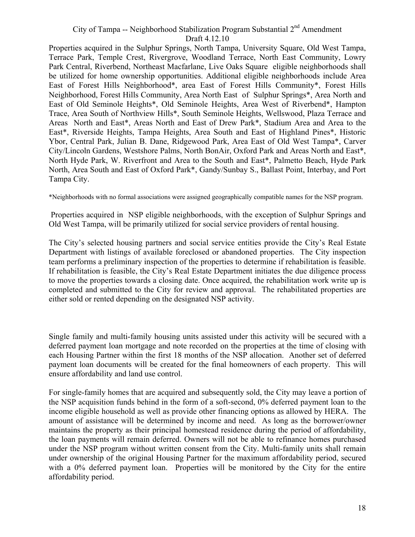Properties acquired in the Sulphur Springs, North Tampa, University Square, Old West Tampa, Terrace Park, Temple Crest, Rivergrove, Woodland Terrace, North East Community, Lowry Park Central, Riverbend, Northeast Macfarlane, Live Oaks Square eligible neighborhoods shall be utilized for home ownership opportunities. Additional eligible neighborhoods include Area East of Forest Hills Neighborhood\*, area East of Forest Hills Community\*, Forest Hills Neighborhood, Forest Hills Community, Area North East of Sulphur Springs\*, Area North and East of Old Seminole Heights\*, Old Seminole Heights, Area West of Riverbend\*, Hampton Trace, Area South of Northview Hills\*, South Seminole Heights, Wellswood, Plaza Terrace and Areas North and East\*, Areas North and East of Drew Park\*, Stadium Area and Area to the East\*, Riverside Heights, Tampa Heights, Area South and East of Highland Pines\*, Historic Ybor, Central Park, Julian B. Dane, Ridgewood Park, Area East of Old West Tampa\*, Carver City/Lincoln Gardens, Westshore Palms, North BonAir, Oxford Park and Areas North and East\*, North Hyde Park, W. Riverfront and Area to the South and East\*, Palmetto Beach, Hyde Park North, Area South and East of Oxford Park\*, Gandy/Sunbay S., Ballast Point, Interbay, and Port Tampa City.

\*Neighborhoods with no formal associations were assigned geographically compatible names for the NSP program.

Properties acquired in NSP eligible neighborhoods, with the exception of Sulphur Springs and Old West Tampa, will be primarily utilized for social service providers of rental housing.

team performs a preliminary inspection of the properties to determine if rehabilitation is feasible. The City's selected housing partners and social service entities provide the City's Real Estate Department with listings of available foreclosed or abandoned properties. The City inspection If rehabilitation is feasible, the City's Real Estate Department initiates the due diligence process to move the properties towards a closing date. Once acquired, the rehabilitation work write up is completed and submitted to the City for review and approval. The rehabilitated properties are either sold or rented depending on the designated NSP activity.

 each Housing Partner within the first 18 months of the NSP allocation. Another set of deferred Single family and multi-family housing units assisted under this activity will be secured with a deferred payment loan mortgage and note recorded on the properties at the time of closing with payment loan documents will be created for the final homeowners of each property. This will ensure affordability and land use control.

For single-family homes that are acquired and subsequently sold, the City may leave a portion of the NSP acquisition funds behind in the form of a soft-second, 0% deferred payment loan to the income eligible household as well as provide other financing options as allowed by HERA. The amount of assistance will be determined by income and need. As long as the borrower/owner maintains the property as their principal homestead residence during the period of affordability, the loan payments will remain deferred. Owners will not be able to refinance homes purchased under the NSP program without written consent from the City. Multi-family units shall remain under ownership of the original Housing Partner for the maximum affordability period, secured with a 0% deferred payment loan. Properties will be monitored by the City for the entire affordability period.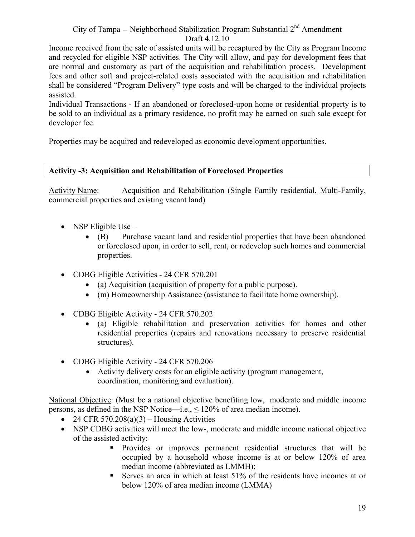Income received from the sale of assisted units will be recaptured by the City as Program Income and recycled for eligible NSP activities. The City will allow, and pay for development fees that are normal and customary as part of the acquisition and rehabilitation process. Development fees and other soft and project-related costs associated with the acquisition and rehabilitation shall be considered "Program Delivery" type costs and will be charged to the individual projects assisted.

Individual Transactions - If an abandoned or foreclosed-upon home or residential property is to be sold to an individual as a primary residence, no profit may be earned on such sale except for developer fee.

Properties may be acquired and redeveloped as economic development opportunities.

#### **Activity -3: Acquisition and Rehabilitation of Foreclosed Properties**

Activity Name: Acquisition and Rehabilitation (Single Family residential, Multi-Family, commercial properties and existing vacant land)

- NSP Eligible Use
	- (B) Purchase vacant land and residential properties that have been abandoned or foreclosed upon, in order to sell, rent, or redevelop such homes and commercial properties.
- CDBG Eligible Activities 24 CFR 570.201
	- (a) Acquisition (acquisition of property for a public purpose).
	- (m) Homeownership Assistance (assistance to facilitate home ownership).
- CDBG Eligible Activity 24 CFR 570.202
	- (a) Eligible rehabilitation and preservation activities for homes and other residential properties (repairs and renovations necessary to preserve residential structures).
- CDBG Eligible Activity 24 CFR 570.206
	- Activity delivery costs for an eligible activity (program management, coordination, monitoring and evaluation).

National Objective: (Must be a national objective benefiting low, moderate and middle income persons, as defined in the NSP Notice—i.e.,  $\leq 120\%$  of area median income).

- 24 CFR 570.208(a)(3) Housing Activities
- NSP CDBG activities will meet the low-, moderate and middle income national objective of the assisted activity:
	- Provides or improves permanent residential structures that will be occupied by a household whose income is at or below 120% of area median income (abbreviated as LMMH);
	- Serves an area in which at least 51% of the residents have incomes at or below 120% of area median income (LMMA)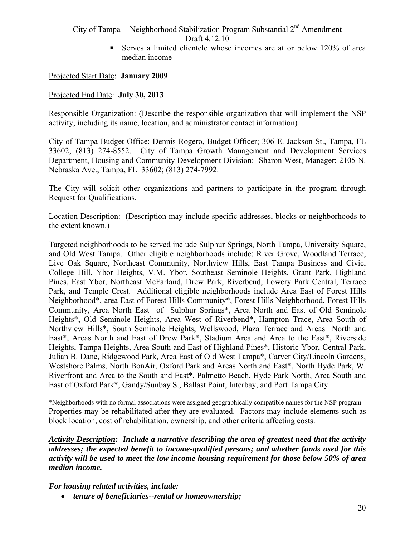Serves a limited clientele whose incomes are at or below 120% of area median income

Projected Start Date: **January 2009** 

#### Projected End Date: **July 30, 2013**

Responsible Organization: (Describe the responsible organization that will implement the NSP activity, including its name, location, and administrator contact information)

City of Tampa Budget Office: Dennis Rogero, Budget Officer; 306 E. Jackson St., Tampa, FL 33602; (813) 274-8552. City of Tampa Growth Management and Development Services Department, Housing and Community Development Division: Sharon West, Manager; 2105 N. Nebraska Ave., Tampa, FL 33602; (813) 274-7992.

The City will solicit other organizations and partners to participate in the program through Request for Qualifications.

Location Description: (Description may include specific addresses, blocks or neighborhoods to the extent known.)

Targeted neighborhoods to be served include Sulphur Springs, North Tampa, University Square, and Old West Tampa. Other eligible neighborhoods include: River Grove, Woodland Terrace, Live Oak Square, Northeast Community, Northview Hills, East Tampa Business and Civic, College Hill, Ybor Heights, V.M. Ybor, Southeast Seminole Heights, Grant Park, Highland Pines, East Ybor, Northeast McFarland, Drew Park, Riverbend, Lowery Park Central, Terrace Park, and Temple Crest. Additional eligible neighborhoods include Area East of Forest Hills Neighborhood\*, area East of Forest Hills Community\*, Forest Hills Neighborhood, Forest Hills Community, Area North East of Sulphur Springs\*, Area North and East of Old Seminole Heights\*, Old Seminole Heights, Area West of Riverbend\*, Hampton Trace, Area South of Northview Hills\*, South Seminole Heights, Wellswood, Plaza Terrace and Areas North and East\*, Areas North and East of Drew Park\*, Stadium Area and Area to the East\*, Riverside Heights, Tampa Heights, Area South and East of Highland Pines\*, Historic Ybor, Central Park, Julian B. Dane, Ridgewood Park, Area East of Old West Tampa\*, Carver City/Lincoln Gardens, Westshore Palms, North BonAir, Oxford Park and Areas North and East\*, North Hyde Park, W. Riverfront and Area to the South and East\*, Palmetto Beach, Hyde Park North, Area South and East of Oxford Park\*, Gandy/Sunbay S., Ballast Point, Interbay, and Port Tampa City.

 \*Neighborhoods with no formal associations were assigned geographically compatible names for the NSP program Properties may be rehabilitated after they are evaluated. Factors may include elements such as block location, cost of rehabilitation, ownership, and other criteria affecting costs.

*Activity Description: Include a narrative describing the area of greatest need that the activity addresses; the expected benefit to income-qualified persons; and whether funds used for this activity will be used to meet the low income housing requirement for those below 50% of area median income.* 

*For housing related activities, include:* 

• *tenure of beneficiaries--rental or homeownership;*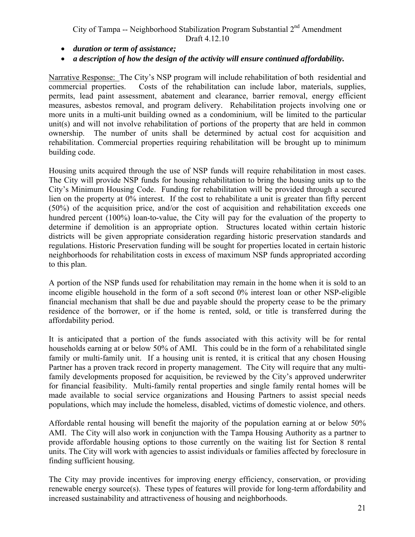- *duration or term of assistance;*
- *a description of how the design of the activity will ensure continued affordability.*

Narrative Response: The City's NSP program will include rehabilitation of both residential and commercial properties. Costs of the rehabilitation can include labor, materials, supplies, permits, lead paint assessment, abatement and clearance, barrier removal, energy efficient measures, asbestos removal, and program delivery. Rehabilitation projects involving one or more units in a multi-unit building owned as a condominium, will be limited to the particular unit(s) and will not involve rehabilitation of portions of the property that are held in common ownership. The number of units shall be determined by actual cost for acquisition and rehabilitation. Commercial properties requiring rehabilitation will be brought up to minimum building code.

Housing units acquired through the use of NSP funds will require rehabilitation in most cases. The City will provide NSP funds for housing rehabilitation to bring the housing units up to the City's Minimum Housing Code. Funding for rehabilitation will be provided through a secured lien on the property at 0% interest. If the cost to rehabilitate a unit is greater than fifty percent (50%) of the acquisition price, and/or the cost of acquisition and rehabilitation exceeds one hundred percent (100%) loan-to-value, the City will pay for the evaluation of the property to determine if demolition is an appropriate option. Structures located within certain historic districts will be given appropriate consideration regarding historic preservation standards and regulations. Historic Preservation funding will be sought for properties located in certain historic neighborhoods for rehabilitation costs in excess of maximum NSP funds appropriated according to this plan.

A portion of the NSP funds used for rehabilitation may remain in the home when it is sold to an income eligible household in the form of a soft second 0% interest loan or other NSP-eligible financial mechanism that shall be due and payable should the property cease to be the primary residence of the borrower, or if the home is rented, sold, or title is transferred during the affordability period.

It is anticipated that a portion of the funds associated with this activity will be for rental households earning at or below 50% of AMI. This could be in the form of a rehabilitated single family or multi-family unit. If a housing unit is rented, it is critical that any chosen Housing Partner has a proven track record in property management. The City will require that any multifamily developments proposed for acquisition, be reviewed by the City's approved underwriter for financial feasibility. Multi-family rental properties and single family rental homes will be made available to social service organizations and Housing Partners to assist special needs populations, which may include the homeless, disabled, victims of domestic violence, and others.

Affordable rental housing will benefit the majority of the population earning at or below 50% AMI. The City will also work in conjunction with the Tampa Housing Authority as a partner to provide affordable housing options to those currently on the waiting list for Section 8 rental units. The City will work with agencies to assist individuals or families affected by foreclosure in finding sufficient housing.

The City may provide incentives for improving energy efficiency, conservation, or providing renewable energy source(s). These types of features will provide for long-term affordability and increased sustainability and attractiveness of housing and neighborhoods.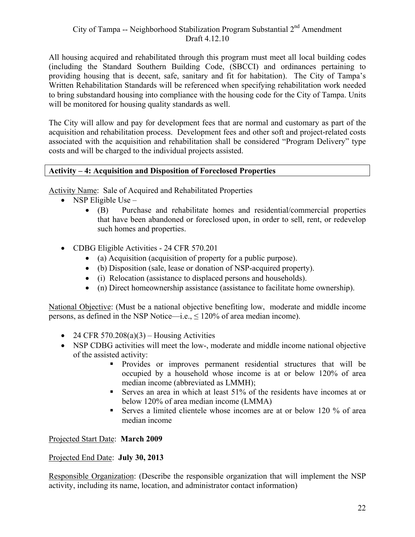All housing acquired and rehabilitated through this program must meet all local building codes (including the Standard Southern Building Code, (SBCCI) and ordinances pertaining to providing housing that is decent, safe, sanitary and fit for habitation). The City of Tampa's Written Rehabilitation Standards will be referenced when specifying rehabilitation work needed to bring substandard housing into compliance with the housing code for the City of Tampa. Units will be monitored for housing quality standards as well.

The City will allow and pay for development fees that are normal and customary as part of the acquisition and rehabilitation process. Development fees and other soft and project-related costs associated with the acquisition and rehabilitation shall be considered "Program Delivery" type costs and will be charged to the individual projects assisted.

#### **Activity – 4: Acquisition and Disposition of Foreclosed Properties**

Activity Name: Sale of Acquired and Rehabilitated Properties

- NSP Eligible Use
	- (B) Purchase and rehabilitate homes and residential/commercial properties that have been abandoned or foreclosed upon, in order to sell, rent, or redevelop such homes and properties.
- CDBG Eligible Activities 24 CFR 570.201
	- (a) Acquisition (acquisition of property for a public purpose).
	- (b) Disposition (sale, lease or donation of NSP-acquired property).
	- (i) Relocation (assistance to displaced persons and households).
	- (n) Direct homeownership assistance (assistance to facilitate home ownership).

National Objective: (Must be a national objective benefiting low, moderate and middle income persons, as defined in the NSP Notice—i.e.,  $\leq 120\%$  of area median income).

- 24 CFR 570.208(a)(3) Housing Activities
- NSP CDBG activities will meet the low-, moderate and middle income national objective of the assisted activity:
	- Provides or improves permanent residential structures that will be occupied by a household whose income is at or below 120% of area median income (abbreviated as LMMH);
	- Serves an area in which at least 51% of the residents have incomes at or below 120% of area median income (LMMA)
	- Serves a limited clientele whose incomes are at or below 120 % of area median income

#### Projected Start Date: **March 2009**

#### Projected End Date: **July 30, 2013**

Responsible Organization: (Describe the responsible organization that will implement the NSP activity, including its name, location, and administrator contact information)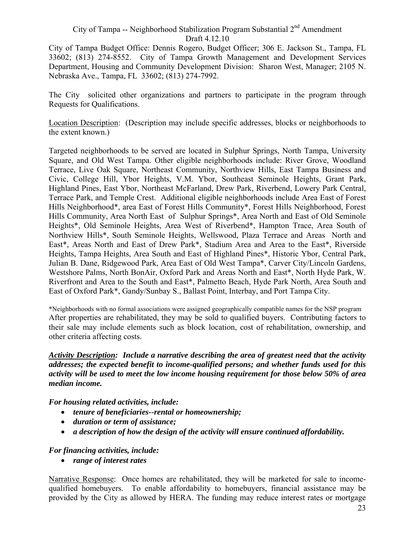City of Tampa Budget Office: Dennis Rogero, Budget Officer; 306 E. Jackson St., Tampa, FL 33602; (813) 274-8552. City of Tampa Growth Management and Development Services Department, Housing and Community Development Division: Sharon West, Manager; 2105 N. Nebraska Ave., Tampa, FL 33602; (813) 274-7992.

The City solicited other organizations and partners to participate in the program through Requests for Qualifications.

Location Description: (Description may include specific addresses, blocks or neighborhoods to the extent known.)

Targeted neighborhoods to be served are located in Sulphur Springs, North Tampa, University Square, and Old West Tampa. Other eligible neighborhoods include: River Grove, Woodland Terrace, Live Oak Square, Northeast Community, Northview Hills, East Tampa Business and Civic, College Hill, Ybor Heights, V.M. Ybor, Southeast Seminole Heights, Grant Park, Highland Pines, East Ybor, Northeast McFarland, Drew Park, Riverbend, Lowery Park Central, Terrace Park, and Temple Crest. Additional eligible neighborhoods include Area East of Forest Hills Neighborhood\*, area East of Forest Hills Community\*, Forest Hills Neighborhood, Forest Hills Community, Area North East of Sulphur Springs\*, Area North and East of Old Seminole Heights\*, Old Seminole Heights, Area West of Riverbend\*, Hampton Trace, Area South of Northview Hills\*, South Seminole Heights, Wellswood, Plaza Terrace and Areas North and East\*, Areas North and East of Drew Park\*, Stadium Area and Area to the East\*, Riverside Heights, Tampa Heights, Area South and East of Highland Pines\*, Historic Ybor, Central Park, Julian B. Dane, Ridgewood Park, Area East of Old West Tampa\*, Carver City/Lincoln Gardens, Westshore Palms, North BonAir, Oxford Park and Areas North and East\*, North Hyde Park, W. Riverfront and Area to the South and East\*, Palmetto Beach, Hyde Park North, Area South and East of Oxford Park\*, Gandy/Sunbay S., Ballast Point, Interbay, and Port Tampa City.

 \*Neighborhoods with no formal associations were assigned geographically compatible names for the NSP program After properties are rehabilitated, they may be sold to qualified buyers. Contributing factors to their sale may include elements such as block location, cost of rehabilitation, ownership, and other criteria affecting costs.

*Activity Description: Include a narrative describing the area of greatest need that the activity addresses; the expected benefit to income-qualified persons; and whether funds used for this activity will be used to meet the low income housing requirement for those below 50% of area median income.* 

*For housing related activities, include:* 

- *tenure of beneficiaries--rental or homeownership;*
- *duration or term of assistance;*
- *a description of how the design of the activity will ensure continued affordability.*

#### *For financing activities, include:*

• *range of interest rates* 

Narrative Response: Once homes are rehabilitated, they will be marketed for sale to incomequalified homebuyers. To enable affordability to homebuyers, financial assistance may be provided by the City as allowed by HERA. The funding may reduce interest rates or mortgage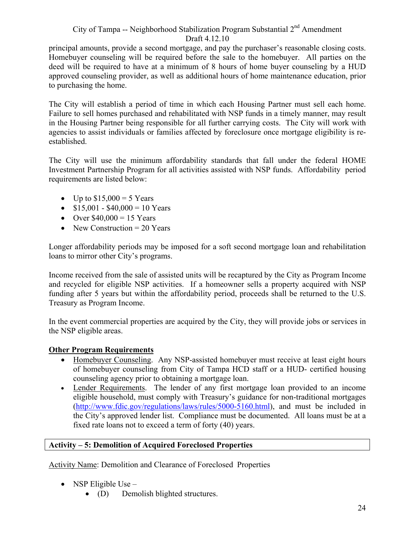principal amounts, provide a second mortgage, and pay the purchaser's reasonable closing costs. Homebuyer counseling will be required before the sale to the homebuyer. All parties on the deed will be required to have at a minimum of 8 hours of home buyer counseling by a HUD approved counseling provider, as well as additional hours of home maintenance education, prior to purchasing the home.

The City will establish a period of time in which each Housing Partner must sell each home. Failure to sell homes purchased and rehabilitated with NSP funds in a timely manner, may result in the Housing Partner being responsible for all further carrying costs. The City will work with agencies to assist individuals or families affected by foreclosure once mortgage eligibility is reestablished.

The City will use the minimum affordability standards that fall under the federal HOME Investment Partnership Program for all activities assisted with NSP funds. Affordability period requirements are listed below:

- Up to  $$15,000 = 5$  Years
- $$15,001 $40,000 = 10$  Years
- Over  $$40,000 = 15$  Years
- New Construction  $= 20$  Years

Longer affordability periods may be imposed for a soft second mortgage loan and rehabilitation loans to mirror other City's programs.

Income received from the sale of assisted units will be recaptured by the City as Program Income and recycled for eligible NSP activities. If a homeowner sells a property acquired with NSP funding after 5 years but within the affordability period, proceeds shall be returned to the U.S. Treasury as Program Income.

In the event commercial properties are acquired by the City, they will provide jobs or services in the NSP eligible areas.

#### **Other Program Requirements**

- Homebuyer Counseling. Any NSP-assisted homebuyer must receive at least eight hours of homebuyer counseling from City of Tampa HCD staff or a HUD- certified housing counseling agency prior to obtaining a mortgage loan.
- Lender Requirements. The lender of any first mortgage loan provided to an income eligible household, must comply with Treasury's guidance for non-traditional mortgages (http://www.fdic.gov/regulations/laws/rules/5000-5160.html), and must be included in the City's approved lender list. Compliance must be documented. All loans must be at a fixed rate loans not to exceed a term of forty (40) years.

#### **Activity – 5: Demolition of Acquired Foreclosed Properties**

Activity Name: Demolition and Clearance of Foreclosed Properties

- NSP Eligible Use  $-$ 
	- (D) Demolish blighted structures.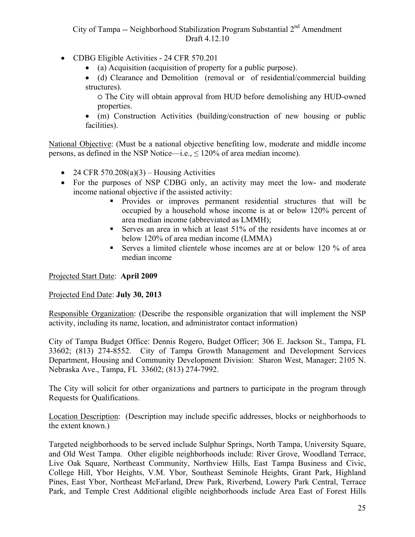- CDBG Eligible Activities 24 CFR 570.201
	- (a) Acquisition (acquisition of property for a public purpose).
	- (d) Clearance and Demolition (removal or of residential/commercial building structures).

○ The City will obtain approval from HUD before demolishing any HUD-owned properties.

• (m) Construction Activities (building/construction of new housing or public facilities).

National Objective: (Must be a national objective benefiting low, moderate and middle income persons, as defined in the NSP Notice—i.e.,  $\leq 120\%$  of area median income).

- 24 CFR 570.208(a)(3) Housing Activities
- For the purposes of NSP CDBG only, an activity may meet the low- and moderate income national objective if the assisted activity:
	- Provides or improves permanent residential structures that will be occupied by a household whose income is at or below 120% percent of area median income (abbreviated as LMMH);
	- Serves an area in which at least 51% of the residents have incomes at or below 120% of area median income (LMMA)
	- Serves a limited clientele whose incomes are at or below 120 % of area median income

Projected Start Date: **April 2009** 

#### Projected End Date: **July 30, 2013**

Responsible Organization: (Describe the responsible organization that will implement the NSP activity, including its name, location, and administrator contact information)

City of Tampa Budget Office: Dennis Rogero, Budget Officer; 306 E. Jackson St., Tampa, FL 33602; (813) 274-8552. City of Tampa Growth Management and Development Services Department, Housing and Community Development Division: Sharon West, Manager; 2105 N. Nebraska Ave., Tampa, FL 33602; (813) 274-7992.

The City will solicit for other organizations and partners to participate in the program through Requests for Qualifications.

Location Description: (Description may include specific addresses, blocks or neighborhoods to the extent known.)

Targeted neighborhoods to be served include Sulphur Springs, North Tampa, University Square, and Old West Tampa. Other eligible neighborhoods include: River Grove, Woodland Terrace, Live Oak Square, Northeast Community, Northview Hills, East Tampa Business and Civic, College Hill, Ybor Heights, V.M. Ybor, Southeast Seminole Heights, Grant Park, Highland Pines, East Ybor, Northeast McFarland, Drew Park, Riverbend, Lowery Park Central, Terrace Park, and Temple Crest Additional eligible neighborhoods include Area East of Forest Hills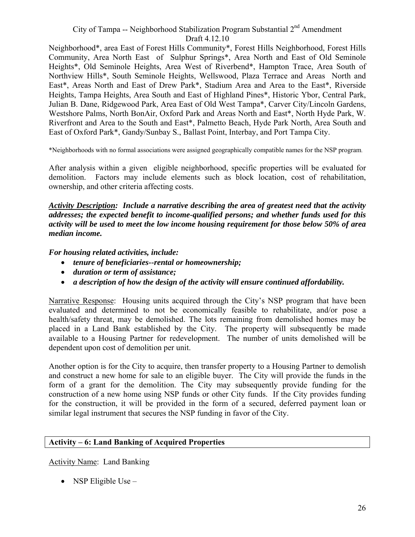Neighborhood\*, area East of Forest Hills Community\*, Forest Hills Neighborhood, Forest Hills Community, Area North East of Sulphur Springs\*, Area North and East of Old Seminole Heights\*, Old Seminole Heights, Area West of Riverbend\*, Hampton Trace, Area South of Northview Hills\*, South Seminole Heights, Wellswood, Plaza Terrace and Areas North and East\*, Areas North and East of Drew Park\*, Stadium Area and Area to the East\*, Riverside Heights, Tampa Heights, Area South and East of Highland Pines\*, Historic Ybor, Central Park, Julian B. Dane, Ridgewood Park, Area East of Old West Tampa\*, Carver City/Lincoln Gardens, Westshore Palms, North BonAir, Oxford Park and Areas North and East\*, North Hyde Park, W. Riverfront and Area to the South and East\*, Palmetto Beach, Hyde Park North, Area South and East of Oxford Park\*, Gandy/Sunbay S., Ballast Point, Interbay, and Port Tampa City.

\*Neighborhoods with no formal associations were assigned geographically compatible names for the NSP program.

After analysis within a given eligible neighborhood, specific properties will be evaluated for demolition. Factors may include elements such as block location, cost of rehabilitation, ownership, and other criteria affecting costs.

*Activity Description: Include a narrative describing the area of greatest need that the activity addresses; the expected benefit to income-qualified persons; and whether funds used for this activity will be used to meet the low income housing requirement for those below 50% of area median income.* 

#### *For housing related activities, include:*

- *tenure of beneficiaries--rental or homeownership;*
- *duration or term of assistance;*
- *a description of how the design of the activity will ensure continued affordability.*

Narrative Response: Housing units acquired through the City's NSP program that have been evaluated and determined to not be economically feasible to rehabilitate, and/or pose a health/safety threat, may be demolished. The lots remaining from demolished homes may be placed in a Land Bank established by the City. The property will subsequently be made available to a Housing Partner for redevelopment. The number of units demolished will be dependent upon cost of demolition per unit.

Another option is for the City to acquire, then transfer property to a Housing Partner to demolish and construct a new home for sale to an eligible buyer. The City will provide the funds in the form of a grant for the demolition. The City may subsequently provide funding for the construction of a new home using NSP funds or other City funds. If the City provides funding for the construction, it will be provided in the form of a secured, deferred payment loan or similar legal instrument that secures the NSP funding in favor of the City.

#### **Activity – 6: Land Banking of Acquired Properties**

Activity Name: Land Banking

• NSP Eligible Use –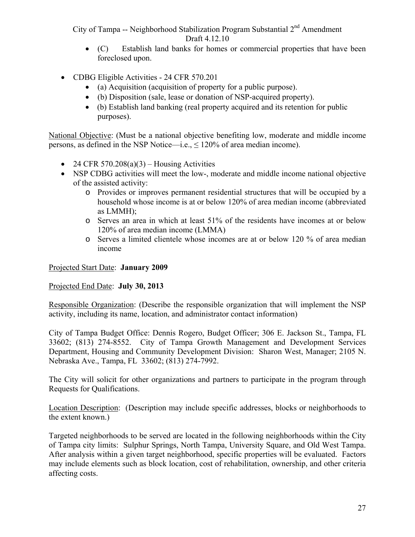- (C) Establish land banks for homes or commercial properties that have been foreclosed upon.
- CDBG Eligible Activities 24 CFR 570.201
	- (a) Acquisition (acquisition of property for a public purpose).
	- (b) Disposition (sale, lease or donation of NSP-acquired property).
	- (b) Establish land banking (real property acquired and its retention for public purposes).

National Objective: (Must be a national objective benefiting low, moderate and middle income persons, as defined in the NSP Notice—i.e.,  $\leq 120\%$  of area median income).

- 24 CFR 570.208(a)(3) Housing Activities
- NSP CDBG activities will meet the low-, moderate and middle income national objective of the assisted activity:
	- o Provides or improves permanent residential structures that will be occupied by a household whose income is at or below 120% of area median income (abbreviated as LMMH);
	- o Serves an area in which at least 51% of the residents have incomes at or below 120% of area median income (LMMA)
	- o Serves a limited clientele whose incomes are at or below 120 % of area median income

Projected Start Date: **January 2009** 

#### Projected End Date: **July 30, 2013**

Responsible Organization: (Describe the responsible organization that will implement the NSP activity, including its name, location, and administrator contact information)

City of Tampa Budget Office: Dennis Rogero, Budget Officer; 306 E. Jackson St., Tampa, FL 33602; (813) 274-8552. City of Tampa Growth Management and Development Services Department, Housing and Community Development Division: Sharon West, Manager; 2105 N. Nebraska Ave., Tampa, FL 33602; (813) 274-7992.

The City will solicit for other organizations and partners to participate in the program through Requests for Qualifications.

Location Description: (Description may include specific addresses, blocks or neighborhoods to the extent known.)

Targeted neighborhoods to be served are located in the following neighborhoods within the City of Tampa city limits: Sulphur Springs, North Tampa, University Square, and Old West Tampa. After analysis within a given target neighborhood, specific properties will be evaluated. Factors may include elements such as block location, cost of rehabilitation, ownership, and other criteria affecting costs.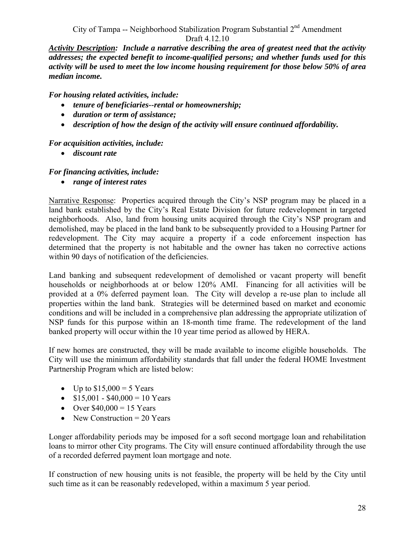*Activity Description: Include a narrative describing the area of greatest need that the activity addresses; the expected benefit to income-qualified persons; and whether funds used for this activity will be used to meet the low income housing requirement for those below 50% of area median income.* 

*For housing related activities, include:* 

- *tenure of beneficiaries--rental or homeownership;*
- *duration or term of assistance;*
- *description of how the design of the activity will ensure continued affordability.*

#### *For acquisition activities, include:*

• *discount rate* 

#### *For financing activities, include:*

• *range of interest rates* 

Narrative Response: Properties acquired through the City's NSP program may be placed in a land bank established by the City's Real Estate Division for future redevelopment in targeted neighborhoods. Also, land from housing units acquired through the City's NSP program and demolished, may be placed in the land bank to be subsequently provided to a Housing Partner for redevelopment. The City may acquire a property if a code enforcement inspection has determined that the property is not habitable and the owner has taken no corrective actions within 90 days of notification of the deficiencies.

Land banking and subsequent redevelopment of demolished or vacant property will benefit households or neighborhoods at or below 120% AMI. Financing for all activities will be provided at a 0% deferred payment loan. The City will develop a re-use plan to include all properties within the land bank. Strategies will be determined based on market and economic conditions and will be included in a comprehensive plan addressing the appropriate utilization of NSP funds for this purpose within an 18-month time frame. The redevelopment of the land banked property will occur within the 10 year time period as allowed by HERA.

If new homes are constructed, they will be made available to income eligible households. The City will use the minimum affordability standards that fall under the federal HOME Investment Partnership Program which are listed below:

- Up to  $$15,000 = 5$  Years
- $$15,001 $40,000 = 10$  Years
- Over  $$40,000 = 15$  Years
- New Construction  $= 20$  Years

Longer affordability periods may be imposed for a soft second mortgage loan and rehabilitation loans to mirror other City programs. The City will ensure continued affordability through the use of a recorded deferred payment loan mortgage and note.

If construction of new housing units is not feasible, the property will be held by the City until such time as it can be reasonably redeveloped, within a maximum 5 year period.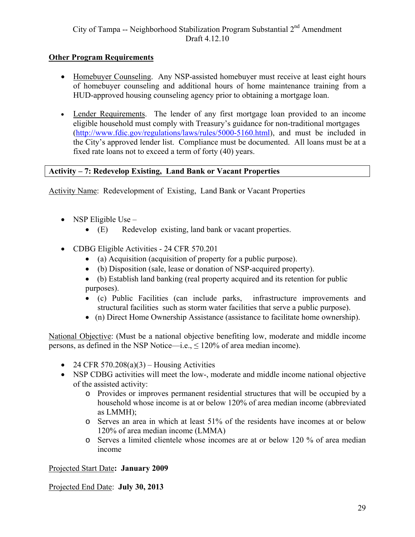#### **Other Program Requirements**

- Homebuyer Counseling. Any NSP-assisted homebuyer must receive at least eight hours of homebuyer counseling and additional hours of home maintenance training from a HUD-approved housing counseling agency prior to obtaining a mortgage loan.
- Lender Requirements. The lender of any first mortgage loan provided to an income eligible household must comply with Treasury's guidance for non-traditional mortgages (http://www.fdic.gov/regulations/laws/rules/5000-5160.html), and must be included in the City's approved lender list. Compliance must be documented. All loans must be at a fixed rate loans not to exceed a term of forty (40) years.

#### **Activity – 7: Redevelop Existing, Land Bank or Vacant Properties**

Activity Name: Redevelopment of Existing, Land Bank or Vacant Properties

- NSP Eligible Use
	- (E) Redevelop existing, land bank or vacant properties.
- CDBG Eligible Activities 24 CFR 570.201
	- (a) Acquisition (acquisition of property for a public purpose).
	- (b) Disposition (sale, lease or donation of NSP-acquired property).
	- (b) Establish land banking (real property acquired and its retention for public purposes).
	- (c) Public Facilities (can include parks, infrastructure improvements and structural facilities such as storm water facilities that serve a public purpose).
	- (n) Direct Home Ownership Assistance (assistance to facilitate home ownership).

National Objective: (Must be a national objective benefiting low, moderate and middle income persons, as defined in the NSP Notice—i.e.,  $\leq 120\%$  of area median income).

- 24 CFR 570.208(a)(3) Housing Activities
- NSP CDBG activities will meet the low-, moderate and middle income national objective of the assisted activity:
	- o Provides or improves permanent residential structures that will be occupied by a household whose income is at or below 120% of area median income (abbreviated as LMMH);
	- o Serves an area in which at least 51% of the residents have incomes at or below 120% of area median income (LMMA)
	- o Serves a limited clientele whose incomes are at or below 120 % of area median income

Projected Start Date**: January 2009** 

Projected End Date: **July 30, 2013**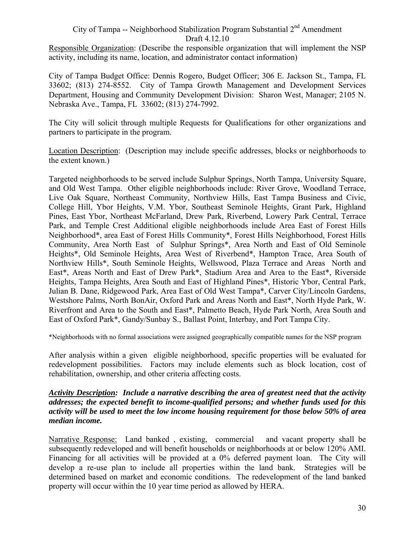Responsible Organization: (Describe the responsible organization that will implement the NSP activity, including its name, location, and administrator contact information)

City of Tampa Budget Office: Dennis Rogero, Budget Officer; 306 E. Jackson St., Tampa, FL 33602; (813) 274-8552. City of Tampa Growth Management and Development Services Department, Housing and Community Development Division: Sharon West, Manager; 2105 N. Nebraska Ave., Tampa, FL 33602; (813) 274-7992.

The City will solicit through multiple Requests for Qualifications for other organizations and partners to participate in the program.

Location Description: (Description may include specific addresses, blocks or neighborhoods to the extent known.)

Targeted neighborhoods to be served include Sulphur Springs, North Tampa, University Square, and Old West Tampa. Other eligible neighborhoods include: River Grove, Woodland Terrace, Live Oak Square, Northeast Community, Northview Hills, East Tampa Business and Civic, College Hill, Ybor Heights, V.M. Ybor, Southeast Seminole Heights, Grant Park, Highland Pines, East Ybor, Northeast McFarland, Drew Park, Riverbend, Lowery Park Central, Terrace Park, and Temple Crest Additional eligible neighborhoods include Area East of Forest Hills Neighborhood\*, area East of Forest Hills Community\*, Forest Hills Neighborhood, Forest Hills Community, Area North East of Sulphur Springs\*, Area North and East of Old Seminole Heights\*, Old Seminole Heights, Area West of Riverbend\*, Hampton Trace, Area South of Northview Hills\*, South Seminole Heights, Wellswood, Plaza Terrace and Areas North and East\*, Areas North and East of Drew Park\*, Stadium Area and Area to the East\*, Riverside Heights, Tampa Heights, Area South and East of Highland Pines\*, Historic Ybor, Central Park, Julian B. Dane, Ridgewood Park, Area East of Old West Tampa\*, Carver City/Lincoln Gardens, Westshore Palms, North BonAir, Oxford Park and Areas North and East\*, North Hyde Park, W. Riverfront and Area to the South and East\*, Palmetto Beach, Hyde Park North, Area South and East of Oxford Park\*, Gandy/Sunbay S., Ballast Point, Interbay, and Port Tampa City.

\*Neighborhoods with no formal associations were assigned geographically compatible names for the NSP program

After analysis within a given eligible neighborhood, specific properties will be evaluated for redevelopment possibilities. Factors may include elements such as block location, cost of rehabilitation, ownership, and other criteria affecting costs.

#### *Activity Description: Include a narrative describing the area of greatest need that the activity addresses; the expected benefit to income-qualified persons; and whether funds used for this activity will be used to meet the low income housing requirement for those below 50% of area median income.*

Narrative Response: Land banked , existing, commercial and vacant property shall be subsequently redeveloped and will benefit households or neighborhoods at or below 120% AMI. Financing for all activities will be provided at a 0% deferred payment loan. The City will develop a re-use plan to include all properties within the land bank. Strategies will be determined based on market and economic conditions. The redevelopment of the land banked property will occur within the 10 year time period as allowed by HERA.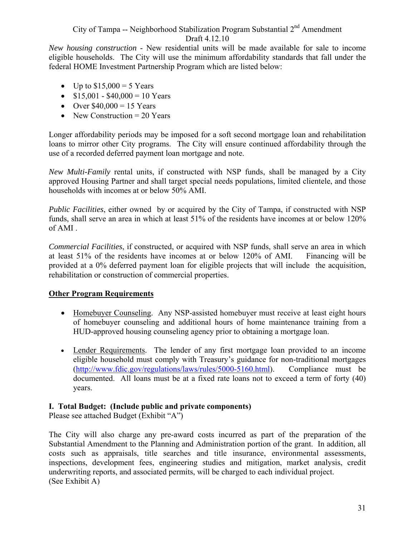*New housing construction* - New residential units will be made available for sale to income eligible households. The City will use the minimum affordability standards that fall under the federal HOME Investment Partnership Program which are listed below:

- Up to  $$15,000 = 5$  Years
- $$15,001 $40,000 = 10$  Years
- Over  $$40,000 = 15$  Years
- New Construction  $= 20$  Years

Longer affordability periods may be imposed for a soft second mortgage loan and rehabilitation loans to mirror other City programs. The City will ensure continued affordability through the use of a recorded deferred payment loan mortgage and note.

*New Multi-Family* rental units, if constructed with NSP funds, shall be managed by a City approved Housing Partner and shall target special needs populations, limited clientele, and those households with incomes at or below 50% AMI.

*Public Facilities*, either owned by or acquired by the City of Tampa, if constructed with NSP funds, shall serve an area in which at least 51% of the residents have incomes at or below 120% of AMI .

*Commercial Facilities*, if constructed, or acquired with NSP funds, shall serve an area in which at least 51% of the residents have incomes at or below 120% of AMI. Financing will be provided at a 0% deferred payment loan for eligible projects that will include the acquisition, rehabilitation or construction of commercial properties.

#### **Other Program Requirements**

- Homebuyer Counseling. Any NSP-assisted homebuyer must receive at least eight hours of homebuyer counseling and additional hours of home maintenance training from a HUD-approved housing counseling agency prior to obtaining a mortgage loan.
- Lender Requirements. The lender of any first mortgage loan provided to an income eligible household must comply with Treasury's guidance for non-traditional mortgages (http://www.fdic.gov/regulations/laws/rules/5000-5160.html). Compliance must be documented. All loans must be at a fixed rate loans not to exceed a term of forty (40) years.

#### **I. Total Budget: (Include public and private components)**

Please see attached Budget (Exhibit "A")

The City will also charge any pre-award costs incurred as part of the preparation of the Substantial Amendment to the Planning and Administration portion of the grant. In addition, all costs such as appraisals, title searches and title insurance, environmental assessments, inspections, development fees, engineering studies and mitigation, market analysis, credit underwriting reports, and associated permits, will be charged to each individual project. (See Exhibit A)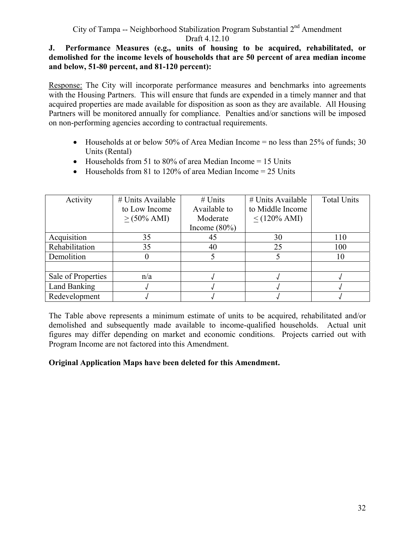#### **J. Performance Measures (e.g., units of housing to be acquired, rehabilitated, or demolished for the income levels of households that are 50 percent of area median income and below, 51-80 percent, and 81-120 percent):**

Response: The City will incorporate performance measures and benchmarks into agreements with the Housing Partners. This will ensure that funds are expended in a timely manner and that acquired properties are made available for disposition as soon as they are available. All Housing Partners will be monitored annually for compliance. Penalties and/or sanctions will be imposed on non-performing agencies according to contractual requirements.

- Households at or below 50% of Area Median Income  $=$  no less than 25% of funds; 30 Units (Rental)
- Households from 51 to 80% of area Median Income  $= 15$  Units
- Households from 81 to 120% of area Median Income  $= 25$  Units

| Activity           | $#$ Units Available    | $#$ Units       | $#$ Units Available | <b>Total Units</b> |
|--------------------|------------------------|-----------------|---------------------|--------------------|
|                    | to Low Income          | Available to    | to Middle Income    |                    |
|                    | $> (50\% \text{ AMI})$ | Moderate        | $\leq$ (120% AMI)   |                    |
|                    |                        | Income $(80\%)$ |                     |                    |
| Acquisition        | 35                     | 45              | 30                  | 110                |
| Rehabilitation     | 35                     | 40              | 25                  | 100                |
| Demolition         |                        |                 |                     | 10                 |
|                    |                        |                 |                     |                    |
| Sale of Properties | n/a                    |                 |                     |                    |
| Land Banking       |                        |                 |                     |                    |
| Redevelopment      |                        |                 |                     |                    |

The Table above represents a minimum estimate of units to be acquired, rehabilitated and/or demolished and subsequently made available to income-qualified households. Actual unit figures may differ depending on market and economic conditions. Projects carried out with Program Income are not factored into this Amendment.

#### **Original Application Maps have been deleted for this Amendment.**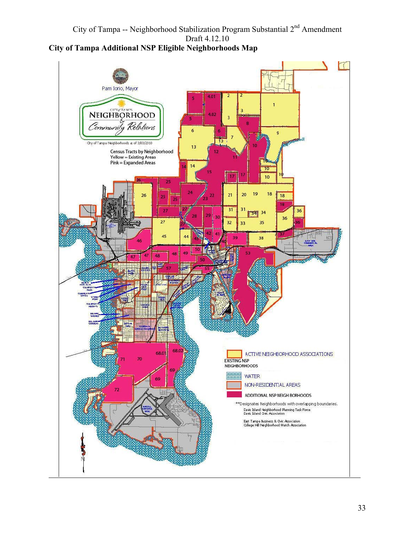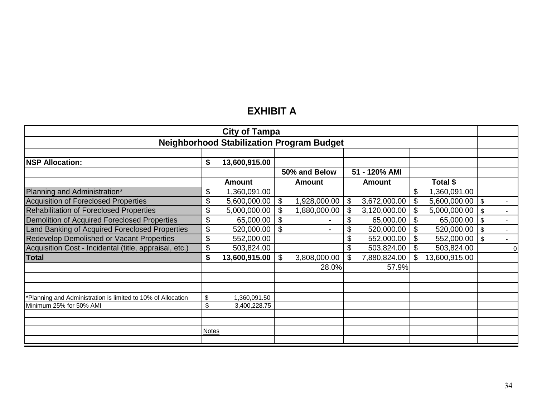# **EXHIBIT A**

| <b>City of Tampa</b>                                         |              |               |    |                |    |               |    |               |                           |  |
|--------------------------------------------------------------|--------------|---------------|----|----------------|----|---------------|----|---------------|---------------------------|--|
| <b>Neighborhood Stabilization Program Budget</b>             |              |               |    |                |    |               |    |               |                           |  |
|                                                              |              |               |    |                |    |               |    |               |                           |  |
| <b>NSP Allocation:</b>                                       | \$           | 13,600,915.00 |    |                |    |               |    |               |                           |  |
|                                                              |              |               |    | 50% and Below  |    | 51 - 120% AMI |    |               |                           |  |
|                                                              |              | <b>Amount</b> |    | <b>Amount</b>  |    | <b>Amount</b> |    | Total \$      |                           |  |
| Planning and Administration*                                 | \$           | ,360,091.00   |    |                |    |               |    | 1,360,091.00  |                           |  |
| Acquisition of Foreclosed Properties                         | \$           | 5,600,000.00  | \$ | 1,928,000.00   | \$ | 3,672,000.00  | \$ | 5,600,000.00  | $\boldsymbol{\mathsf{S}}$ |  |
| <b>Rehabilitation of Foreclosed Properties</b>               | \$           | 5,000,000.00  |    | 1,880,000.00   | \$ | 3,120,000.00  |    | 5,000,000.00  | $\mathfrak{s}$            |  |
| Demolition of Acquired Foreclosed Properties                 | \$           | 65,000.00     | \$ | $\blacksquare$ | \$ | 65,000.00     | \$ | 65,000.00     | $\sqrt[6]{\frac{1}{2}}$   |  |
| Land Banking of Acquired Foreclosed Properties               | \$           | 520,000.00    | \$ |                | \$ | 520,000.00    | \$ | 520,000.00    | $\mathfrak{s}$            |  |
| <b>Redevelop Demolished or Vacant Properties</b>             | \$           | 552,000.00    |    |                |    | 552,000.00    |    | 552,000.00    | \$                        |  |
| Acquisition Cost - Incidental (title, appraisal, etc.)       | \$           | 503,824.00    |    |                | \$ | 503,824.00    |    | 503,824.00    |                           |  |
| Total                                                        | \$           | 13,600,915.00 | \$ | 3,808,000.00   | \$ | 7,880,824.00  |    | 13,600,915.00 |                           |  |
|                                                              |              |               |    | 28.0%          |    | 57.9%         |    |               |                           |  |
|                                                              |              |               |    |                |    |               |    |               |                           |  |
|                                                              |              |               |    |                |    |               |    |               |                           |  |
| *Planning and Administration is limited to 10% of Allocation | \$           | ,360,091.50   |    |                |    |               |    |               |                           |  |
| Minimum 25% for 50% AMI                                      | \$           | 3,400,228.75  |    |                |    |               |    |               |                           |  |
|                                                              |              |               |    |                |    |               |    |               |                           |  |
|                                                              |              |               |    |                |    |               |    |               |                           |  |
|                                                              | <b>Notes</b> |               |    |                |    |               |    |               |                           |  |
|                                                              |              |               |    |                |    |               |    |               |                           |  |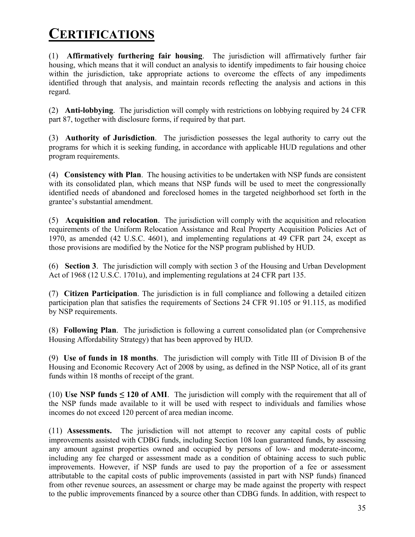# **CERTIFICATIONS**

(1) **Affirmatively furthering fair housing**. The jurisdiction will affirmatively further fair housing, which means that it will conduct an analysis to identify impediments to fair housing choice within the jurisdiction, take appropriate actions to overcome the effects of any impediments identified through that analysis, and maintain records reflecting the analysis and actions in this regard.

(2) **Anti-lobbying**. The jurisdiction will comply with restrictions on lobbying required by 24 CFR part 87, together with disclosure forms, if required by that part.

(3) **Authority of Jurisdiction**. The jurisdiction possesses the legal authority to carry out the programs for which it is seeking funding, in accordance with applicable HUD regulations and other program requirements.

(4) **Consistency with Plan**. The housing activities to be undertaken with NSP funds are consistent with its consolidated plan, which means that NSP funds will be used to meet the congressionally identified needs of abandoned and foreclosed homes in the targeted neighborhood set forth in the grantee's substantial amendment.

(5) **Acquisition and relocation**. The jurisdiction will comply with the acquisition and relocation requirements of the Uniform Relocation Assistance and Real Property Acquisition Policies Act of 1970, as amended (42 U.S.C. 4601), and implementing regulations at 49 CFR part 24, except as those provisions are modified by the Notice for the NSP program published by HUD.

(6) **Section 3**. The jurisdiction will comply with section 3 of the Housing and Urban Development Act of 1968 (12 U.S.C. 1701u), and implementing regulations at 24 CFR part 135.

(7) **Citizen Participation**. The jurisdiction is in full compliance and following a detailed citizen participation plan that satisfies the requirements of Sections 24 CFR 91.105 or 91.115, as modified by NSP requirements.

(8) **Following Plan**. The jurisdiction is following a current consolidated plan (or Comprehensive Housing Affordability Strategy) that has been approved by HUD.

(9) **Use of funds in 18 months**. The jurisdiction will comply with Title III of Division B of the Housing and Economic Recovery Act of 2008 by using, as defined in the NSP Notice, all of its grant funds within 18 months of receipt of the grant.

(10) **Use NSP funds**  $\leq$  **120 of AMI**. The jurisdiction will comply with the requirement that all of the NSP funds made available to it will be used with respect to individuals and families whose incomes do not exceed 120 percent of area median income.

 from other revenue sources, an assessment or charge may be made against the property with respect (11) **Assessments.** The jurisdiction will not attempt to recover any capital costs of public improvements assisted with CDBG funds, including Section 108 loan guaranteed funds, by assessing any amount against properties owned and occupied by persons of low- and moderate-income, including any fee charged or assessment made as a condition of obtaining access to such public improvements. However, if NSP funds are used to pay the proportion of a fee or assessment attributable to the capital costs of public improvements (assisted in part with NSP funds) financed to the public improvements financed by a source other than CDBG funds. In addition, with respect to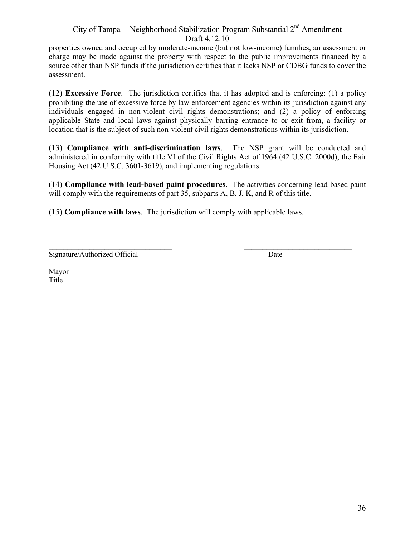properties owned and occupied by moderate-income (but not low-income) families, an assessment or charge may be made against the property with respect to the public improvements financed by a source other than NSP funds if the jurisdiction certifies that it lacks NSP or CDBG funds to cover the assessment.

(12) **Excessive Force**. The jurisdiction certifies that it has adopted and is enforcing: (1) a policy prohibiting the use of excessive force by law enforcement agencies within its jurisdiction against any individuals engaged in non-violent civil rights demonstrations; and (2) a policy of enforcing applicable State and local laws against physically barring entrance to or exit from, a facility or location that is the subject of such non-violent civil rights demonstrations within its jurisdiction.

(13) **Compliance with anti-discrimination laws**. The NSP grant will be conducted and administered in conformity with title VI of the Civil Rights Act of 1964 (42 U.S.C. 2000d), the Fair Housing Act (42 U.S.C. 3601-3619), and implementing regulations.

(14) **Compliance with lead-based paint procedures**. The activities concerning lead-based paint will comply with the requirements of part 35, subparts A, B, J, K, and R of this title.

(15) **Compliance with laws**. The jurisdiction will comply with applicable laws.

 $\mathcal{L}_\text{max}$ Signature/Authorized Official

 $\mathcal{L}_\text{max}$ **Date** 

Mayor<br>Title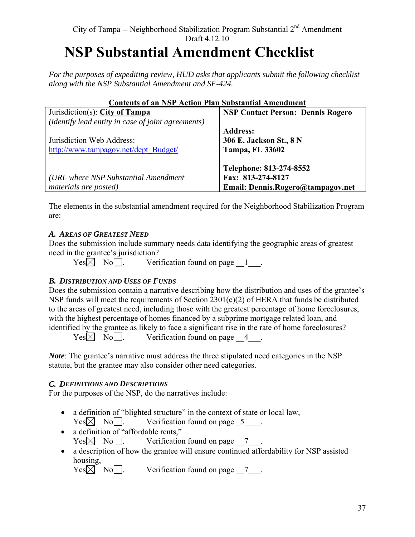# City of Tampa -- Neighborhood Stabilization Program Substantial 2<sup>nd</sup> Amendment Draft 4.12.10  **NSP Substantial Amendment Checklist**

*For the purposes of expediting review, HUD asks that applicants submit the following checklist along with the NSP Substantial Amendment and SF-424.* 

| Contents of an INSP Action Pian Substantial Amendment     |                                          |
|-----------------------------------------------------------|------------------------------------------|
| Jurisdiction(s): City of Tampa                            | <b>NSP Contact Person: Dennis Rogero</b> |
| <i>(identify lead entity in case of joint agreements)</i> |                                          |
|                                                           | <b>Address:</b>                          |
| Jurisdiction Web Address:                                 | 306 E. Jackson St., 8 N                  |
| http://www.tampagov.net/dept_Budget/                      | <b>Tampa, FL 33602</b>                   |
|                                                           |                                          |
|                                                           | Telephone: 813-274-8552                  |
| (URL where NSP Substantial Amendment                      | Fax: 813-274-8127                        |
| materials are posted)                                     | Email: Dennis.Rogero@tampagov.net        |

# **Contents of an NSP Action Plan Substantial Amendment**

The elements in the substantial amendment required for the Neighborhood Stabilization Program are:

#### *A. AREAS OF GREATEST NEED*

Does the submission include summary needs data identifying the geographic areas of greatest need in the grantee's jurisdiction?

 $Yes \times No \quad No \quad$  Verification found on page  $1$ .

#### *B. DISTRIBUTION AND USES OF FUNDS*

Does the submission contain a narrative describing how the distribution and uses of the grantee's NSP funds will meet the requirements of Section 2301(c)(2) of HERA that funds be distributed to the areas of greatest need, including those with the greatest percentage of home foreclosures, with the highest percentage of homes financed by a subprime mortgage related loan, and identified by the grantee as likely to face a significant rise in the rate of home foreclosures?

 $Yes \times No$  No . Verification found on page 4.

*Note*: The grantee's narrative must address the three stipulated need categories in the NSP statute, but the grantee may also consider other need categories.

#### *C. DEFINITIONS AND DESCRIPTIONS*

For the purposes of the NSP, do the narratives include:

- a definition of "blighted structure" in the context of state or local law,  $Yes \times No \quad No \quad$  Verification found on page  $5$ .
- a definition of "affordable rents,"  $Yes \times No$  No . Verification found on page 7
- a description of how the grantee will ensure continued affordability for NSP assisted housing,<br>Yes $\boxtimes$  No $\Box$ .

Verification found on page  $\overline{7}$ .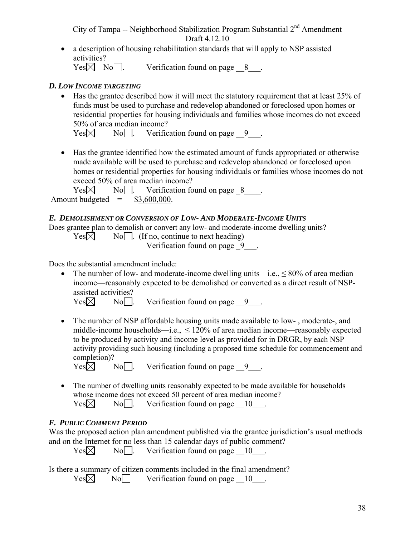activities? • a description of housing rehabilitation standards that will apply to NSP assisted

 $Yes \times No \quad No \quad$  Verification found on page  $8$ .

# *D. LOW INCOME TARGETING*

• Has the grantee described how it will meet the statutory requirement that at least 25% of funds must be used to purchase and redevelop abandoned or foreclosed upon homes or residential properties for housing individuals and families whose incomes do not exceed 50% of area median income?

 $Yes \boxtimes$  No. Verification found on page 9.

• Has the grantee identified how the estimated amount of funds appropriated or otherwise made available will be used to purchase and redevelop abandoned or foreclosed upon homes or residential properties for housing individuals or families whose incomes do not exceed 50% of area median income?

Amount budgeted  $=$  \$3,600,000.  $Yes \boxtimes$  No  $\Box$  Verification found on page 8.

# *E. DEMOLISHMENT OR CONVERSION OF LOW- AND MODERATE-INCOME UNITS*

Does grantee plan to demolish or convert any low- and moderate-income dwelling units?

 $Yes \boxtimes$  No  $\Box$ . (If no, continue to next heading)

Verification found on page 9 .

Does the substantial amendment include:

• The number of low- and moderate-income dwelling units—i.e.,  $\leq 80\%$  of area median income—reasonably expected to be demolished or converted as a direct result of NSPassisted activities?

 $Yes \times$  No. Perification found on page 9.

• The number of NSP affordable housing units made available to low-, moderate-, and middle-income households—i.e.,  $\leq 120\%$  of area median income—reasonably expected to be produced by activity and income level as provided for in DRGR, by each NSP activity providing such housing (including a proposed time schedule for commencement and completion)?<br>Yes $\boxtimes$ 

 $\overline{No}$ . Verification found on page  $\overline{9}$ .

• The number of dwelling units reasonably expected to be made available for households whose income does not exceed 50 percent of area median income?  $Yes \times$  No  $\Box$  Verification found on page 10.

# *F. PUBLIC COMMENT PERIOD*

Was the proposed action plan amendment published via the grantee jurisdiction's usual methods and on the Internet for no less than 15 calendar days of public comment?

 $Yes \times$  No  $\Box$  Verification found on page  $10$ .

Is there a summary of citizen comments included in the final amendment?<br>  $Yes \times No \longrightarrow Veerification$  found on page  $\_10$ 

 $No$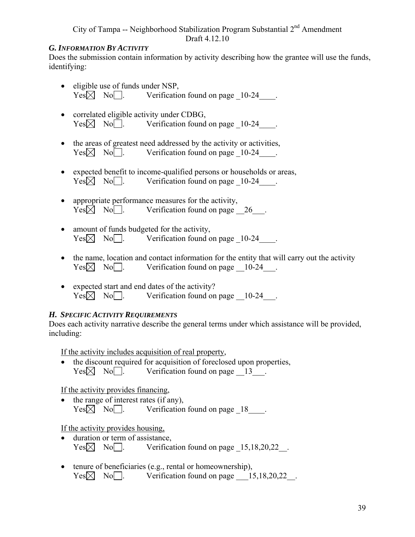#### *G. INFORMATION BY ACTIVITY*

Does the submission contain information by activity describing how the grantee will use the funds, identifying:

- eligible use of funds under NSP,  $Yes \times No \quad No \quad$  Verification found on page 10-24.
- correlated eligible activity under CDBG,  $Yes \times No \quad No \quad$  Verification found on page 10-24.
- the areas of greatest need addressed by the activity or activities,  $Yes \times No$  No . Verification found on page 10-24.
- expected benefit to income-qualified persons or households or areas,  $Yes \boxtimes No \text{]}$ . Verification found on page 10-24.
- appropriate performance measures for the activity,  $Yes \times No \quad No \quad$  Verification found on page 26.
- amount of funds budgeted for the activity.  $Yes \times No \quad No \quad$  Verification found on page 10-24.
- the name, location and contact information for the entity that will carry out the activity  $Yes \times No$  No . Verification found on page 10-24.
- expected start and end dates of the activity?  $Yes \times No \quad No \quad$  Verification found on page  $10-24$ .

#### *H. SPECIFIC ACTIVITY REQUIREMENTS*

Does each activity narrative describe the general terms under which assistance will be provided, including:

If the activity includes acquisition of real property,

• the discount required for acquisition of foreclosed upon properties,  $Yes \times No \quad$ . Verification found on page  $13$ .

If the activity provides financing,

• the range of interest rates (if any).  $Yes \times \overline{\times}$  No . Verification found on page 18.

If the activity provides housing,

- duration or term of assistance,  $Yes \times No \quad No \quad$  Verification found on page  $15,18,20,22$ .
- tenure of beneficiaries (e.g., rental or homeownership),  $Yes \times No$  No . Verification found on page 15,18,20,22.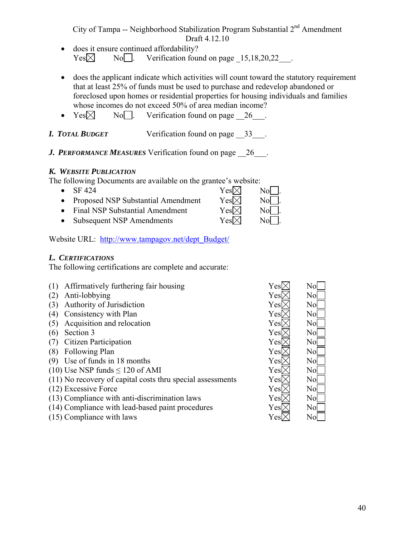- does it ensure continued affordability?  $Yes \boxtimes$  No . Verification found on page 15,18,20,22.
- does the applicant indicate which activities will count toward the statutory requirement that at least 25% of funds must be used to purchase and redevelop abandoned or foreclosed upon homes or residential properties for housing individuals and families whose incomes do not exceed 50% of area median income?
- $Yes \times$  No. Perification found on page 26.
- *I. TOTAL BUDGET* Verification found on page \_\_33\_\_\_.
- **J. PERFORMANCE MEASURES** Verification found on page 26 .

## *K. WEBSITE PUBLICATION*

The following Documents are available on the grantee's website:

• Subsequent NSP Amendments  $Yes \times No$ . • SF 424  $Yes \boxtimes$  No  $\Box$ • Proposed NSP Substantial Amendment  $Yes \boxtimes$  No  $\Box$ . • Final NSP Substantial Amendment  $Yes \times No \rightarrow No$ .

Website URL: http://www.tampagov.net/dept\_Budget/

# *L. CERTIFICATIONS*

The following certifications are complete and accurate:

| (1) | Affirmatively furthering fair housing                      | Yesl  | No[            |
|-----|------------------------------------------------------------|-------|----------------|
| (2) | Anti-lobbying                                              | Yesl  | N <sub>0</sub> |
| (3) | Authority of Jurisdiction                                  | Yes)  | No             |
| (4) | Consistency with Plan                                      | Yesl  | No             |
| (5) | Acquisition and relocation                                 | Yes)  | No             |
| (6) | Section 3                                                  | YesD  | No             |
|     | Citizen Participation                                      | Yes)  | No             |
| (8) | Following Plan                                             | Yesl  | No             |
| (9) | Use of funds in 18 months                                  | Yesl  | No             |
|     | $(10)$ Use NSP funds $\leq 120$ of AMI                     | Yes   | No             |
|     | (11) No recovery of capital costs thru special assessments | Yes)> | No             |
|     | (12) Excessive Force                                       | Yes   | $\rm No$       |
|     | (13) Compliance with anti-discrimination laws              | Yes > | No             |
|     | (14) Compliance with lead-based paint procedures           | Yes > | No             |
|     | (15) Compliance with laws                                  | Yes   | No             |